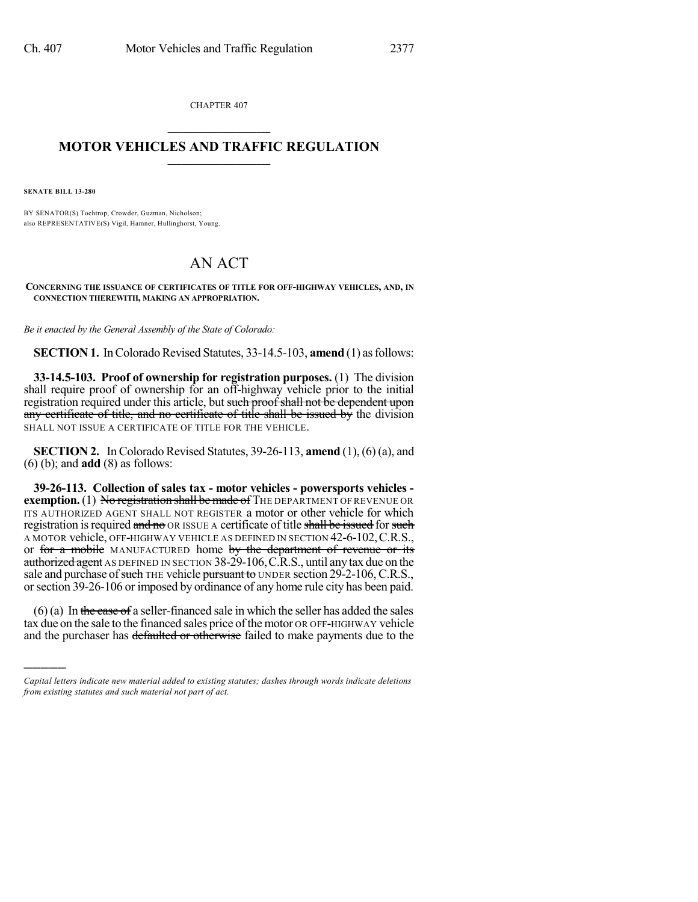CHAPTER 407

## $\overline{\phantom{a}}$  . The set of the set of the set of the set of the set of the set of the set of the set of the set of the set of the set of the set of the set of the set of the set of the set of the set of the set of the set o **MOTOR VEHICLES AND TRAFFIC REGULATION**  $\frac{1}{2}$  ,  $\frac{1}{2}$  ,  $\frac{1}{2}$  ,  $\frac{1}{2}$  ,  $\frac{1}{2}$  ,  $\frac{1}{2}$  ,  $\frac{1}{2}$

**SENATE BILL 13-280**

)))))

BY SENATOR(S) Tochtrop, Crowder, Guzman, Nicholson; also REPRESENTATIVE(S) Vigil, Hamner, Hullinghorst, Young.

## AN ACT

**CONCERNING THE ISSUANCE OF CERTIFICATES OF TITLE FOR OFF-HIGHWAY VEHICLES, AND, IN CONNECTION THEREWITH, MAKING AN APPROPRIATION.**

*Be it enacted by the General Assembly of the State of Colorado:*

**SECTION 1.** In Colorado Revised Statutes, 33-14.5-103, **amend** (1) as follows:

**33-14.5-103. Proof of ownership for registration purposes.** (1) The division shall require proof of ownership for an off-highway vehicle prior to the initial registration required under this article, but such proof shall not be dependent upon any certificate of title, and no certificate of title shall be issued by the division SHALL NOT ISSUE A CERTIFICATE OF TITLE FOR THE VEHICLE.

**SECTION 2.** In Colorado Revised Statutes, 39-26-113, **amend** (1), (6) (a), and (6) (b); and **add** (8) as follows:

**39-26-113. Collection of sales tax - motor vehicles - powersports vehicles exemption.** (1) No registration shall be made of THE DEPARTMENT OF REVENUE OR ITS AUTHORIZED AGENT SHALL NOT REGISTER a motor or other vehicle for which registration is required and no OR ISSUE A certificate of title shall be issued for such A MOTOR vehicle, OFF-HIGHWAY VEHICLE AS DEFINED IN SECTION 42-6-102,C.R.S., or for a mobile MANUFACTURED home by the department of revenue or its authorized agent AS DEFINED IN SECTION 38-29-106, C.R.S., until any tax due on the sale and purchase of such THE vehicle pursuant to UNDER section 29-2-106, C.R.S., or section 39-26-106 or imposed by ordinance of any home rule city has been paid.

 $(6)$  (a) In the case of a seller-financed sale in which the seller has added the sales tax due on the sale to the financed sales price ofthe motor OR OFF-HIGHWAY vehicle and the purchaser has defaulted or otherwise failed to make payments due to the

*Capital letters indicate new material added to existing statutes; dashes through words indicate deletions from existing statutes and such material not part of act.*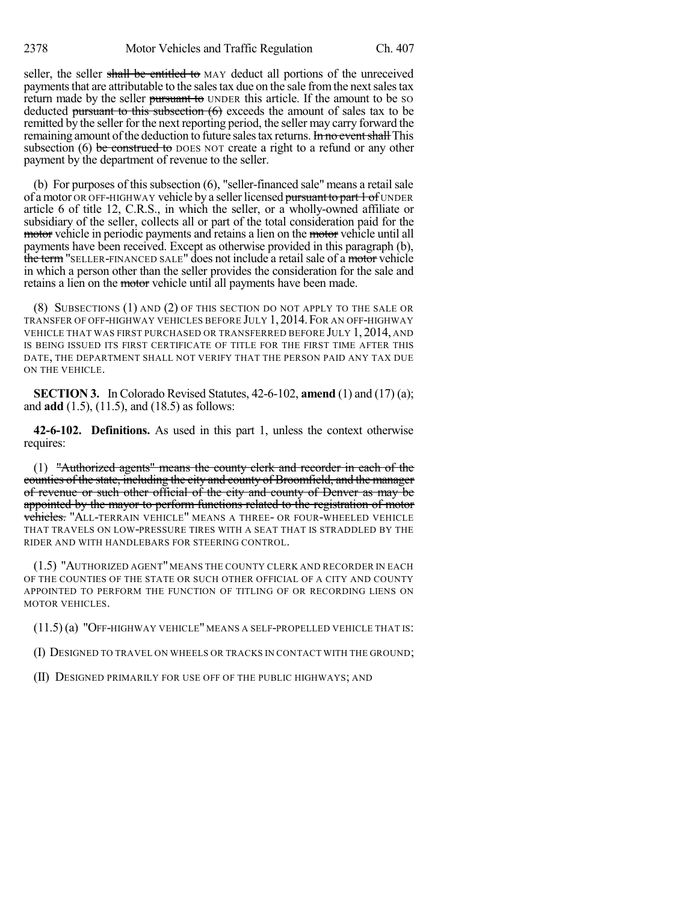seller, the seller shall be entitled to MAY deduct all portions of the unreceived payments that are attributable to the sales tax due on the sale from the next sales tax return made by the seller pursuant to UNDER this article. If the amount to be so deducted pursuant to this subsection (6) exceeds the amount of sales tax to be remitted by the seller for the next reporting period, the seller may carry forward the remaining amount of the deduction to future sales tax returns. In no event shall This subsection  $(6)$  be construed to DOES NOT create a right to a refund or any other payment by the department of revenue to the seller.

(b) For purposes of this subsection  $(6)$ , "seller-financed sale" means a retail sale of a motor OR OFF-HIGHWAY vehicle by a seller licensed pursuant to part 1 of UNDER article 6 of title 12, C.R.S., in which the seller, or a wholly-owned affiliate or subsidiary of the seller, collects all or part of the total consideration paid for the motor vehicle in periodic payments and retains a lien on the motor vehicle until all payments have been received. Except as otherwise provided in this paragraph (b), the term "SELLER-FINANCED SALE" does not include a retail sale of a motor vehicle in which a person other than the seller provides the consideration for the sale and retains a lien on the motor vehicle until all payments have been made.

(8) SUBSECTIONS (1) AND (2) OF THIS SECTION DO NOT APPLY TO THE SALE OR TRANSFER OF OFF-HIGHWAY VEHICLES BEFORE JULY 1, 2014.FOR AN OFF-HIGHWAY VEHICLE THAT WAS FIRST PURCHASED OR TRANSFERRED BEFORE JULY 1, 2014, AND IS BEING ISSUED ITS FIRST CERTIFICATE OF TITLE FOR THE FIRST TIME AFTER THIS DATE, THE DEPARTMENT SHALL NOT VERIFY THAT THE PERSON PAID ANY TAX DUE ON THE VEHICLE.

**SECTION 3.** In Colorado Revised Statutes, 42-6-102, **amend** (1) and (17) (a); and **add** (1.5), (11.5), and (18.5) as follows:

**42-6-102. Definitions.** As used in this part 1, unless the context otherwise requires:

(1) "Authorized agents" means the county clerk and recorder in each of the counties of the state, including the city and county of Broomfield, and the manager of revenue or such other official of the city and county of Denver as may be appointed by the mayor to perform functions related to the registration of motor vehicles. "ALL-TERRAIN VEHICLE" MEANS A THREE- OR FOUR-WHEELED VEHICLE THAT TRAVELS ON LOW-PRESSURE TIRES WITH A SEAT THAT IS STRADDLED BY THE RIDER AND WITH HANDLEBARS FOR STEERING CONTROL.

(1.5) "AUTHORIZED AGENT" MEANS THE COUNTY CLERK AND RECORDER IN EACH OF THE COUNTIES OF THE STATE OR SUCH OTHER OFFICIAL OF A CITY AND COUNTY APPOINTED TO PERFORM THE FUNCTION OF TITLING OF OR RECORDING LIENS ON MOTOR VEHICLES.

(11.5) (a) "OFF-HIGHWAY VEHICLE" MEANS A SELF-PROPELLED VEHICLE THAT IS:

(I) DESIGNED TO TRAVEL ON WHEELS OR TRACKS IN CONTACT WITH THE GROUND;

(II) DESIGNED PRIMARILY FOR USE OFF OF THE PUBLIC HIGHWAYS; AND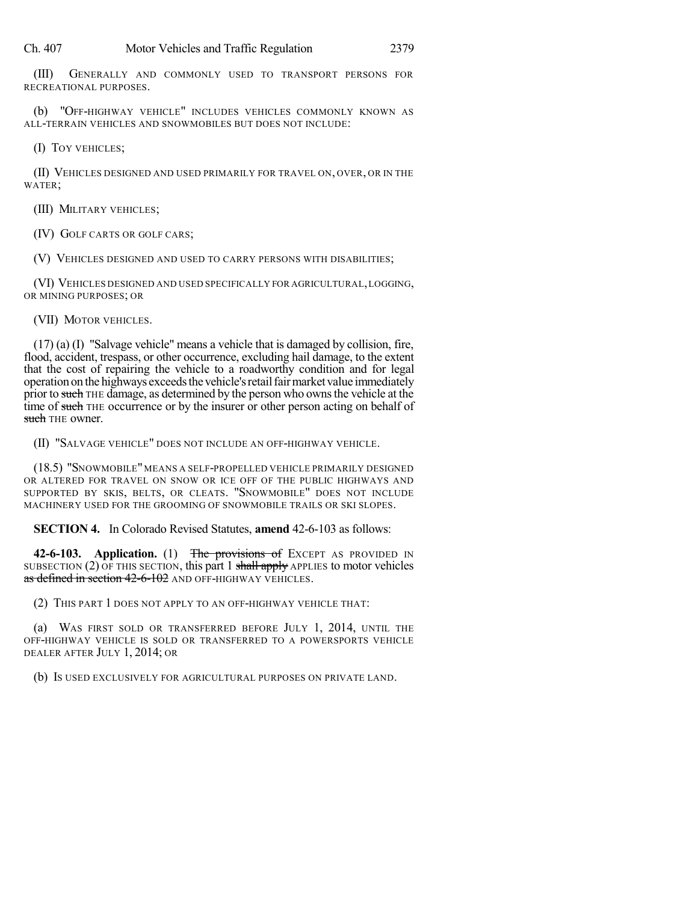(III) GENERALLY AND COMMONLY USED TO TRANSPORT PERSONS FOR RECREATIONAL PURPOSES.

(b) "OFF-HIGHWAY VEHICLE" INCLUDES VEHICLES COMMONLY KNOWN AS ALL-TERRAIN VEHICLES AND SNOWMOBILES BUT DOES NOT INCLUDE:

(I) TOY VEHICLES;

(II) VEHICLES DESIGNED AND USED PRIMARILY FOR TRAVEL ON, OVER, OR IN THE WATER;

(III) MILITARY VEHICLES;

(IV) GOLF CARTS OR GOLF CARS;

(V) VEHICLES DESIGNED AND USED TO CARRY PERSONS WITH DISABILITIES;

(VI) VEHICLES DESIGNED AND USED SPECIFICALLY FOR AGRICULTURAL,LOGGING, OR MINING PURPOSES; OR

(VII) MOTOR VEHICLES.

(17) (a) (I) "Salvage vehicle" means a vehicle that is damaged by collision, fire, flood, accident, trespass, or other occurrence, excluding hail damage, to the extent that the cost of repairing the vehicle to a roadworthy condition and for legal operation on the highways exceeds the vehicle's retail fair market value immediately prior to such THE damage, as determined by the person who owns the vehicle at the time of such THE occurrence or by the insurer or other person acting on behalf of such THE owner.

(II) "SALVAGE VEHICLE" DOES NOT INCLUDE AN OFF-HIGHWAY VEHICLE.

(18.5) "SNOWMOBILE"MEANS A SELF-PROPELLED VEHICLE PRIMARILY DESIGNED OR ALTERED FOR TRAVEL ON SNOW OR ICE OFF OF THE PUBLIC HIGHWAYS AND SUPPORTED BY SKIS, BELTS, OR CLEATS. "SNOWMOBILE" DOES NOT INCLUDE MACHINERY USED FOR THE GROOMING OF SNOWMOBILE TRAILS OR SKI SLOPES.

**SECTION 4.** In Colorado Revised Statutes, **amend** 42-6-103 as follows:

42-6-103. **Application.** (1) The provisions of EXCEPT AS PROVIDED IN SUBSECTION  $(2)$  OF THIS SECTION, this part 1 shall apply APPLIES to motor vehicles as defined in section 42-6-102 AND OFF-HIGHWAY VEHICLES.

(2) THIS PART 1 DOES NOT APPLY TO AN OFF-HIGHWAY VEHICLE THAT:

(a) WAS FIRST SOLD OR TRANSFERRED BEFORE JULY 1, 2014, UNTIL THE OFF-HIGHWAY VEHICLE IS SOLD OR TRANSFERRED TO A POWERSPORTS VEHICLE DEALER AFTER JULY 1, 2014; OR

(b) IS USED EXCLUSIVELY FOR AGRICULTURAL PURPOSES ON PRIVATE LAND.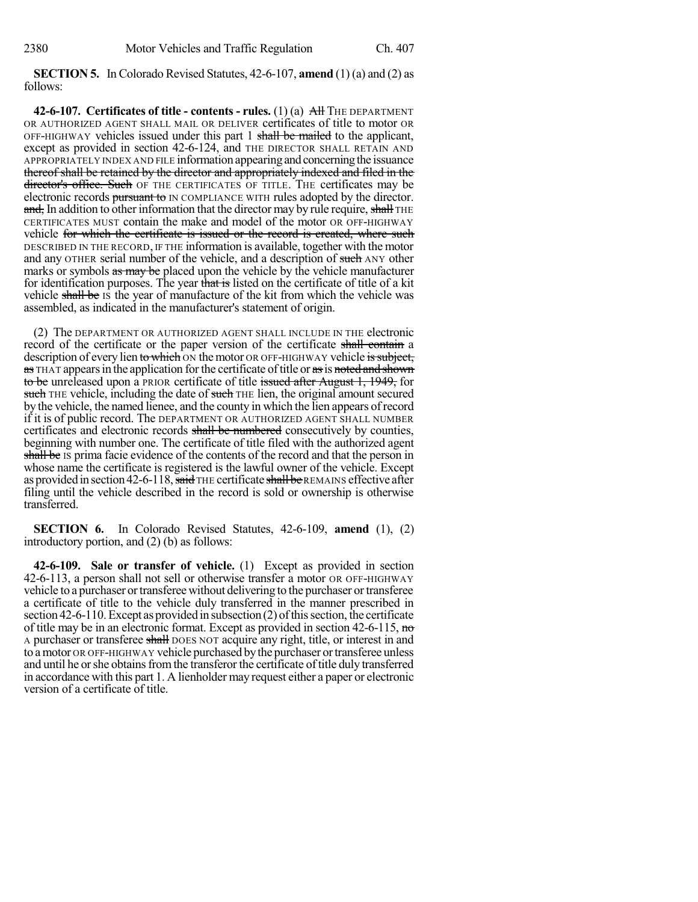**SECTION 5.** In Colorado Revised Statutes, 42-6-107, **amend** (1) (a) and (2) as follows:

**42-6-107. Certificates of title - contents - rules.** (1) (a) All THE DEPARTMENT OR AUTHORIZED AGENT SHALL MAIL OR DELIVER certificates of title to motor OR OFF-HIGHWAY vehicles issued under this part 1 shall be mailed to the applicant, except as provided in section 42-6-124, and THE DIRECTOR SHALL RETAIN AND APPROPRIATELY INDEX AND FILE information appearing and concerning the issuance thereof shall be retained by the director and appropriately indexed and filed in the director's office. Such OF THE CERTIFICATES OF TITLE. THE certificates may be electronic records pursuant to IN COMPLIANCE WITH rules adopted by the director. and, In addition to other information that the director may by rule require, shall THE CERTIFICATES MUST contain the make and model of the motor OR OFF-HIGHWAY vehicle for which the certificate is issued or the record is created, where such DESCRIBED IN THE RECORD, IF THE information is available, together with the motor and any OTHER serial number of the vehicle, and a description of such ANY other marks or symbols as may be placed upon the vehicle by the vehicle manufacturer for identification purposes. The year that is listed on the certificate of title of a kit vehicle shall be IS the year of manufacture of the kit from which the vehicle was assembled, as indicated in the manufacturer's statement of origin.

(2) The DEPARTMENT OR AUTHORIZED AGENT SHALL INCLUDE IN THE electronic record of the certificate or the paper version of the certificate shall contain a description of every lien to which ON the motor OR OFF-HIGHWAY vehicle is subject, as THAT appears in the application for the certificate of title or as is noted and shown to be unreleased upon a PRIOR certificate of title issued after August 1, 1949, for such THE vehicle, including the date of such THE lien, the original amount secured by the vehicle, the named lienee, and the county in which the lien appears of record if it is of public record. The DEPARTMENT OR AUTHORIZED AGENT SHALL NUMBER certificates and electronic records shall be numbered consecutively by counties, beginning with number one. The certificate of title filed with the authorized agent shall be IS prima facie evidence of the contents of the record and that the person in whose name the certificate is registered is the lawful owner of the vehicle. Except as provided in section 42-6-118, said THE certificate shall be REMAINS effective after filing until the vehicle described in the record is sold or ownership is otherwise transferred.

**SECTION 6.** In Colorado Revised Statutes, 42-6-109, **amend** (1), (2) introductory portion, and (2) (b) as follows:

**42-6-109. Sale or transfer of vehicle.** (1) Except as provided in section 42-6-113, a person shall not sell or otherwise transfer a motor OR OFF-HIGHWAY vehicle to a purchaser or transferee without delivering to the purchaser or transferee a certificate of title to the vehicle duly transferred in the manner prescribed in section  $42-6-110$ . Except as provided in subsection (2) of this section, the certificate of title may be in an electronic format. Except as provided in section  $42-6-115$ , no A purchaser or transferee shall DOES NOT acquire any right, title, or interest in and to amotor OR OFF-HIGHWAY vehicle purchased bythe purchaser ortransferee unless and until he or she obtains from the transferor the certificate of title duly transferred in accordance with this part 1. A lienholder may request either a paper or electronic version of a certificate of title.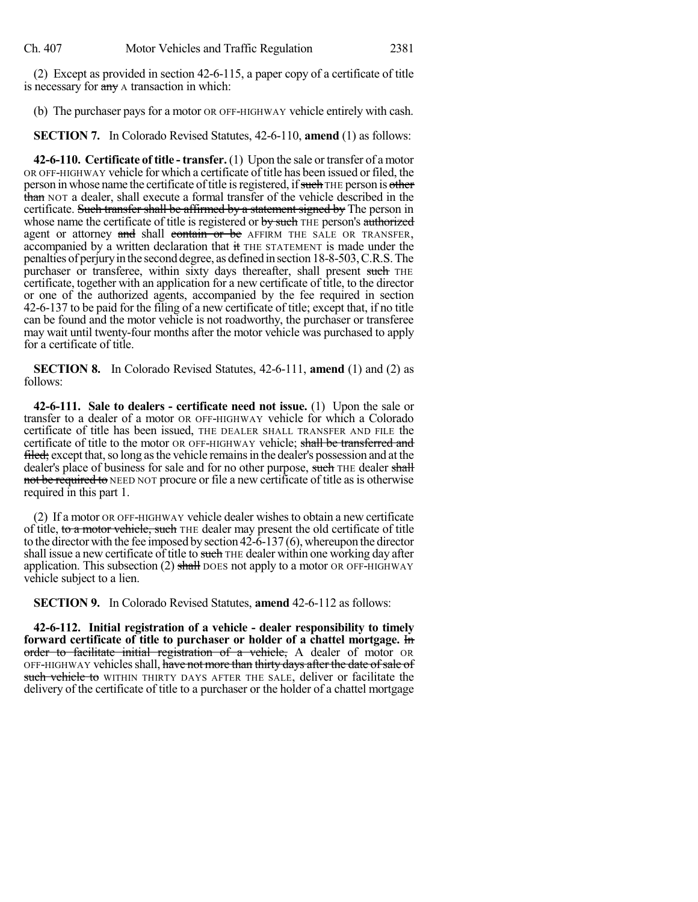(2) Except as provided in section 42-6-115, a paper copy of a certificate of title is necessary for  $\frac{1}{\text{c}}$  any A transaction in which:

(b) The purchaser pays for a motor OR OFF-HIGHWAY vehicle entirely with cash.

**SECTION 7.** In Colorado Revised Statutes, 42-6-110, **amend** (1) as follows:

**42-6-110. Certificate of title - transfer.** (1) Upon the sale or transfer of amotor OR OFF-HIGHWAY vehicle for which a certificate of title has been issued orfiled, the person in whose name the certificate of title is registered, if such THE person is other than NOT a dealer, shall execute a formal transfer of the vehicle described in the certificate. Such transfer shall be affirmed by a statement signed by The person in whose name the certificate of title is registered or by such THE person's authorized agent or attorney and shall contain or be AFFIRM THE SALE OR TRANSFER, accompanied by a written declaration that it THE STATEMENT is made under the penalties of perjuryin the second degree, as defined in section 18-8-503,C.R.S.The purchaser or transferee, within sixty days thereafter, shall present such THE certificate, together with an application for a new certificate of title, to the director or one of the authorized agents, accompanied by the fee required in section 42-6-137 to be paid for the filing of a new certificate of title; except that, if no title can be found and the motor vehicle is not roadworthy, the purchaser or transferee may wait until twenty-four months after the motor vehicle was purchased to apply for a certificate of title.

**SECTION 8.** In Colorado Revised Statutes, 42-6-111, **amend** (1) and (2) as follows:

**42-6-111. Sale to dealers - certificate need not issue.** (1) Upon the sale or transfer to a dealer of a motor OR OFF-HIGHWAY vehicle for which a Colorado certificate of title has been issued, THE DEALER SHALL TRANSFER AND FILE the certificate of title to the motor OR OFF-HIGHWAY vehicle; shall be transferred and filed; except that, so long as the vehicle remains in the dealer's possession and at the dealer's place of business for sale and for no other purpose, such THE dealer shall not be required to NEED NOT procure or file a new certificate of title as is otherwise required in this part 1.

(2) If a motor OR OFF-HIGHWAY vehicle dealer wishesto obtain a new certificate of title, to a motor vehicle, such THE dealer may present the old certificate of title to the director with the fee imposed by section  $42-6-137(6)$ , whereupon the director shall issue a new certificate of title to such THE dealer within one working day after application. This subsection (2) shall DOES not apply to a motor OR OFF-HIGHWAY vehicle subject to a lien.

**SECTION 9.** In Colorado Revised Statutes, **amend** 42-6-112 as follows:

**42-6-112. Initial registration of a vehicle - dealer responsibility to timely forward certificate of title to purchaser or holder of a chattel mortgage.** In order to facilitate initial registration of a vehicle, A dealer of motor OR OFF-HIGHWAY vehicles shall, have not more than thirty days after the date of sale of such vehicle to WITHIN THIRTY DAYS AFTER THE SALE, deliver or facilitate the delivery of the certificate of title to a purchaser or the holder of a chattel mortgage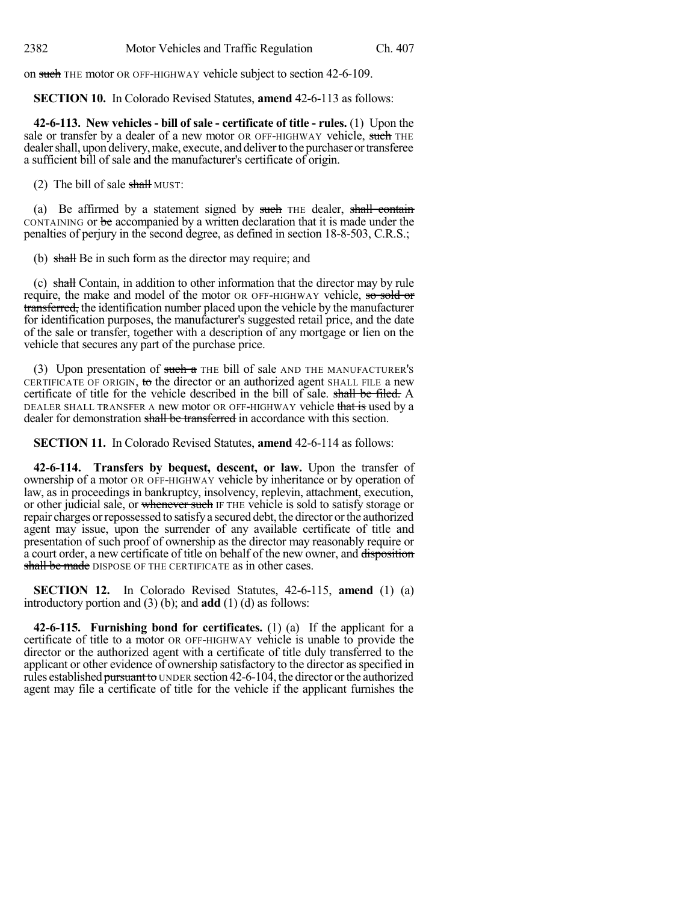on such THE motor OR OFF-HIGHWAY vehicle subject to section 42-6-109.

**SECTION 10.** In Colorado Revised Statutes, **amend** 42-6-113 as follows:

**42-6-113. New vehicles - bill of sale - certificate of title - rules.** (1) Upon the sale or transfer by a dealer of a new motor OR OFF-HIGHWAY vehicle, such THE dealer shall, upon delivery, make, execute, and deliver to the purchaser or transferee a sufficient bill of sale and the manufacturer's certificate of origin.

(2) The bill of sale shall MUST:

(a) Be affirmed by a statement signed by such THE dealer, shall contain CONTAINING or be accompanied by a written declaration that it is made under the penalties of perjury in the second degree, as defined in section 18-8-503, C.R.S.;

(b) shall Be in such form as the director may require; and

(c) shall Contain, in addition to other information that the director may by rule require, the make and model of the motor OR OFF-HIGHWAY vehicle, so sold or transferred, the identification number placed upon the vehicle by the manufacturer for identification purposes, the manufacturer's suggested retail price, and the date of the sale or transfer, together with a description of any mortgage or lien on the vehicle that secures any part of the purchase price.

(3) Upon presentation of such a THE bill of sale AND THE MANUFACTURER's CERTIFICATE OF ORIGIN, to the director or an authorized agent SHALL FILE a new certificate of title for the vehicle described in the bill of sale. shall be filed. A DEALER SHALL TRANSFER A new motor OR OFF-HIGHWAY vehicle that is used by a dealer for demonstration shall be transferred in accordance with this section.

**SECTION 11.** In Colorado Revised Statutes, **amend** 42-6-114 as follows:

**42-6-114. Transfers by bequest, descent, or law.** Upon the transfer of ownership of a motor OR OFF-HIGHWAY vehicle by inheritance or by operation of law, as in proceedings in bankruptcy, insolvency, replevin, attachment, execution, or other judicial sale, or whenever such IF THE vehicle is sold to satisfy storage or repair charges orrepossessed to satisfya secured debt, the director orthe authorized agent may issue, upon the surrender of any available certificate of title and presentation of such proof of ownership as the director may reasonably require or a court order, a new certificate of title on behalf of the new owner, and disposition shall be made DISPOSE OF THE CERTIFICATE as in other cases.

**SECTION 12.** In Colorado Revised Statutes, 42-6-115, **amend** (1) (a) introductory portion and (3) (b); and **add** (1) (d) as follows:

**42-6-115. Furnishing bond for certificates.** (1) (a) If the applicant for a certificate of title to a motor OR OFF-HIGHWAY vehicle is unable to provide the director or the authorized agent with a certificate of title duly transferred to the applicant or other evidence of ownership satisfactory to the director asspecified in rules established pursuant to UNDER section 42-6-104, the director or the authorized agent may file a certificate of title for the vehicle if the applicant furnishes the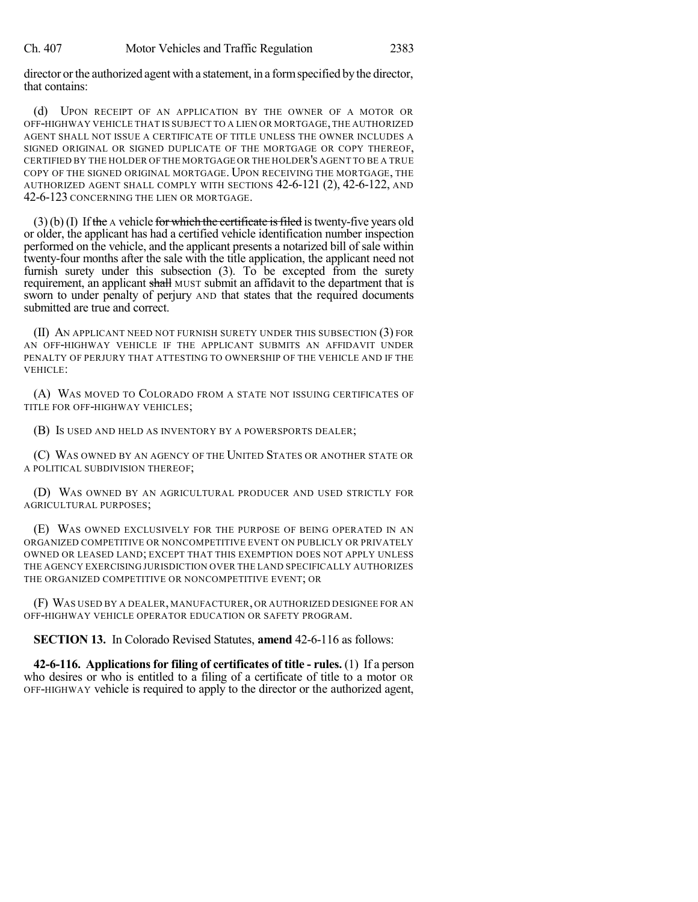director orthe authorized agent with a statement, in a formspecified by the director, that contains:

(d) UPON RECEIPT OF AN APPLICATION BY THE OWNER OF A MOTOR OR OFF-HIGHWAY VEHICLE THAT IS SUBJECT TO A LIEN OR MORTGAGE,THE AUTHORIZED AGENT SHALL NOT ISSUE A CERTIFICATE OF TITLE UNLESS THE OWNER INCLUDES A SIGNED ORIGINAL OR SIGNED DUPLICATE OF THE MORTGAGE OR COPY THEREOF, CERTIFIED BY THE HOLDER OF THE MORTGAGE OR THE HOLDER'S AGENT TO BE A TRUE COPY OF THE SIGNED ORIGINAL MORTGAGE. UPON RECEIVING THE MORTGAGE, THE AUTHORIZED AGENT SHALL COMPLY WITH SECTIONS 42-6-121 (2), 42-6-122, AND 42-6-123 CONCERNING THE LIEN OR MORTGAGE.

 $(3)(b)(I)$  If the A vehicle for which the certificate is filed is twenty-five years old or older, the applicant has had a certified vehicle identification number inspection performed on the vehicle, and the applicant presents a notarized bill of sale within twenty-four months after the sale with the title application, the applicant need not furnish surety under this subsection  $(3)$ . To be excepted from the surety requirement, an applicant shall MUST submit an affidavit to the department that is sworn to under penalty of perjury AND that states that the required documents submitted are true and correct.

(II) AN APPLICANT NEED NOT FURNISH SURETY UNDER THIS SUBSECTION (3) FOR AN OFF-HIGHWAY VEHICLE IF THE APPLICANT SUBMITS AN AFFIDAVIT UNDER PENALTY OF PERJURY THAT ATTESTING TO OWNERSHIP OF THE VEHICLE AND IF THE VEHICLE:

(A) WAS MOVED TO COLORADO FROM A STATE NOT ISSUING CERTIFICATES OF TITLE FOR OFF-HIGHWAY VEHICLES;

(B) IS USED AND HELD AS INVENTORY BY A POWERSPORTS DEALER;

(C) WAS OWNED BY AN AGENCY OF THE UNITED STATES OR ANOTHER STATE OR A POLITICAL SUBDIVISION THEREOF;

(D) WAS OWNED BY AN AGRICULTURAL PRODUCER AND USED STRICTLY FOR AGRICULTURAL PURPOSES;

(E) WAS OWNED EXCLUSIVELY FOR THE PURPOSE OF BEING OPERATED IN AN ORGANIZED COMPETITIVE OR NONCOMPETITIVE EVENT ON PUBLICLY OR PRIVATELY OWNED OR LEASED LAND; EXCEPT THAT THIS EXEMPTION DOES NOT APPLY UNLESS THE AGENCY EXERCISING JURISDICTION OVER THE LAND SPECIFICALLY AUTHORIZES THE ORGANIZED COMPETITIVE OR NONCOMPETITIVE EVENT; OR

(F) WAS USED BY A DEALER, MANUFACTURER, OR AUTHORIZED DESIGNEE FOR AN OFF-HIGHWAY VEHICLE OPERATOR EDUCATION OR SAFETY PROGRAM.

**SECTION 13.** In Colorado Revised Statutes, **amend** 42-6-116 as follows:

**42-6-116. Applicationsfor filing of certificates of title - rules.** (1) If a person who desires or who is entitled to a filing of a certificate of title to a motor OR OFF-HIGHWAY vehicle is required to apply to the director or the authorized agent,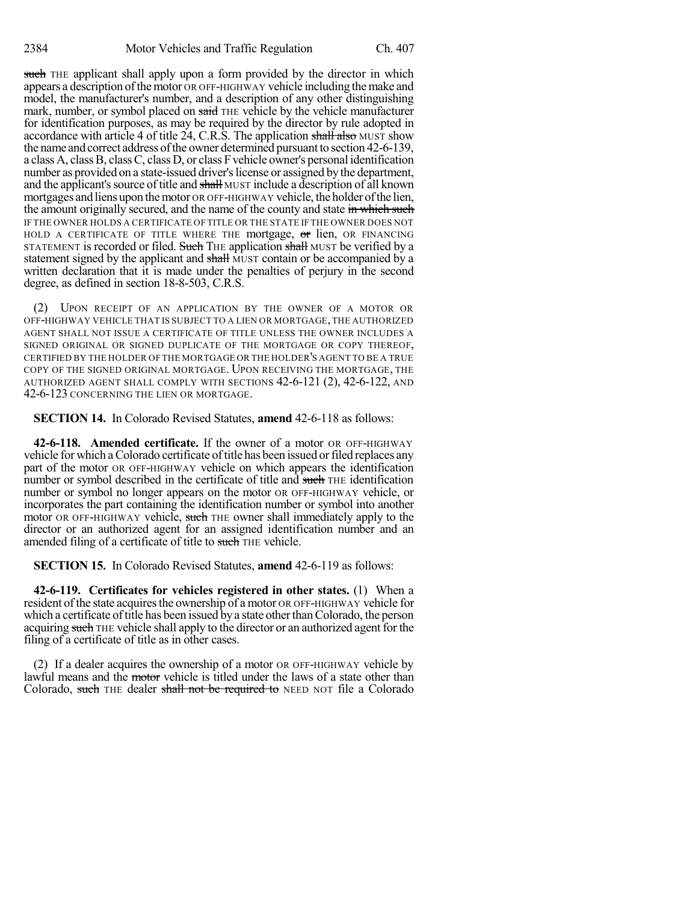such THE applicant shall apply upon a form provided by the director in which appears a description of the motor OR OFF-HIGHWAY vehicle including the make and model, the manufacturer's number, and a description of any other distinguishing mark, number, or symbol placed on said THE vehicle by the vehicle manufacturer for identification purposes, as may be required by the director by rule adopted in accordance with article 4 of title 24, C.R.S. The application shall also MUST show the name and correct address of the owner determined pursuant to section 42-6-139, a class A, class B, class C, class D, or class F vehicle owner's personal identification number as provided on a state-issued driver's license or assigned by the department, and the applicant's source of title and shall MUST include a description of all known mortgages and liens upon the motor OR OFF-HIGHWAY vehicle, the holder of the lien, the amount originally secured, and the name of the county and state in which such IF THE OWNER HOLDS A CERTIFICATE OF TITLE OR THE STATE IF THE OWNER DOES NOT HOLD A CERTIFICATE OF TITLE WHERE THE mortgage, or lien, OR FINANCING STATEMENT is recorded or filed. Such THE application shall MUST be verified by a statement signed by the applicant and shall MUST contain or be accompanied by a written declaration that it is made under the penalties of perjury in the second degree, as defined in section 18-8-503, C.R.S.

(2) UPON RECEIPT OF AN APPLICATION BY THE OWNER OF A MOTOR OR OFF-HIGHWAY VEHICLE THAT IS SUBJECT TO A LIEN OR MORTGAGE,THE AUTHORIZED AGENT SHALL NOT ISSUE A CERTIFICATE OF TITLE UNLESS THE OWNER INCLUDES A SIGNED ORIGINAL OR SIGNED DUPLICATE OF THE MORTGAGE OR COPY THEREOF, CERTIFIED BY THE HOLDER OF THE MORTGAGE OR THE HOLDER'S AGENT TO BE A TRUE COPY OF THE SIGNED ORIGINAL MORTGAGE. UPON RECEIVING THE MORTGAGE, THE AUTHORIZED AGENT SHALL COMPLY WITH SECTIONS 42-6-121 (2), 42-6-122, AND 42-6-123 CONCERNING THE LIEN OR MORTGAGE.

**SECTION 14.** In Colorado Revised Statutes, **amend** 42-6-118 as follows:

**42-6-118. Amended certificate.** If the owner of a motor OR OFF-HIGHWAY vehicle for which a Colorado certificate of title has been issued or filed replaces any part of the motor OR OFF-HIGHWAY vehicle on which appears the identification number or symbol described in the certificate of title and such THE identification number or symbol no longer appears on the motor OR OFF-HIGHWAY vehicle, or incorporates the part containing the identification number or symbol into another motor OR OFF-HIGHWAY vehicle, such THE owner shall immediately apply to the director or an authorized agent for an assigned identification number and an amended filing of a certificate of title to such THE vehicle.

**SECTION 15.** In Colorado Revised Statutes, **amend** 42-6-119 as follows:

**42-6-119. Certificates for vehicles registered in other states.** (1) When a resident of the state acquires the ownership of a motor OR OFF-HIGHWAY vehicle for which a certificate of title has been issued by a state other than Colorado, the person acquiring such THE vehicle shall apply to the director or an authorized agent for the filing of a certificate of title as in other cases.

(2) If a dealer acquires the ownership of a motor OR OFF-HIGHWAY vehicle by lawful means and the motor vehicle is titled under the laws of a state other than Colorado, such THE dealer shall not be required to NEED NOT file a Colorado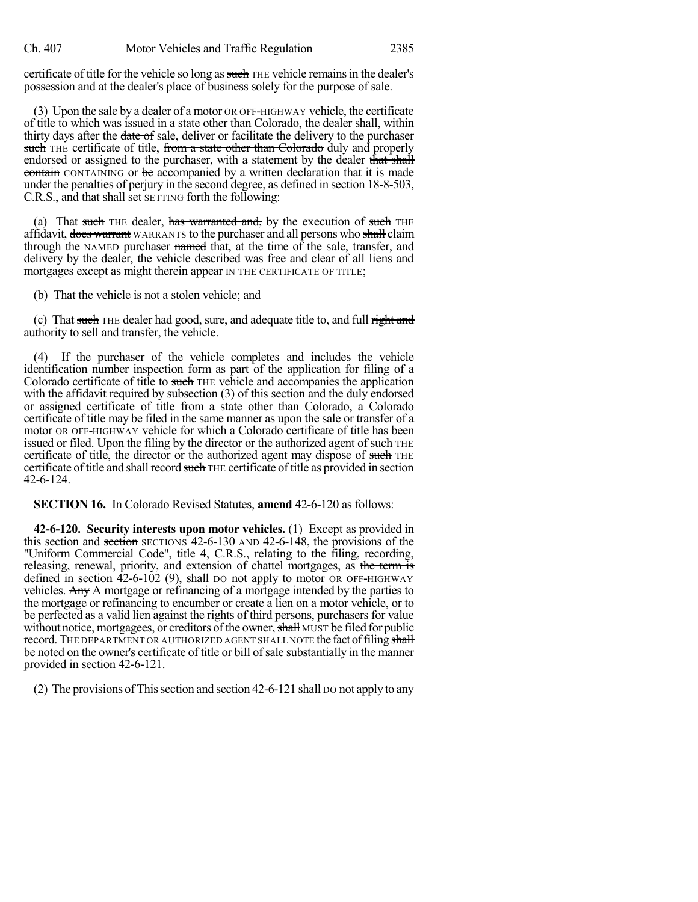certificate of title for the vehicle so long as such THE vehicle remains in the dealer's possession and at the dealer's place of business solely for the purpose of sale.

(3) Upon the sale by a dealer of a motor OR OFF-HIGHWAY vehicle, the certificate of title to which was issued in a state other than Colorado, the dealer shall, within thirty days after the date of sale, deliver or facilitate the delivery to the purchaser such THE certificate of title, from a state other than Colorado duly and properly endorsed or assigned to the purchaser, with a statement by the dealer that shall contain CONTAINING or be accompanied by a written declaration that it is made under the penalties of perjury in the second degree, as defined in section 18-8-503, C.R.S., and that shall set SETTING forth the following:

(a) That such THE dealer, has warranted and, by the execution of such THE affidavit, does warrant WARRANTS to the purchaser and all persons who shall claim through the NAMED purchaser named that, at the time of the sale, transfer, and delivery by the dealer, the vehicle described was free and clear of all liens and mortgages except as might therein appear IN THE CERTIFICATE OF TITLE;

(b) That the vehicle is not a stolen vehicle; and

(c) That such THE dealer had good, sure, and adequate title to, and full right and authority to sell and transfer, the vehicle.

(4) If the purchaser of the vehicle completes and includes the vehicle identification number inspection form as part of the application for filing of a Colorado certificate of title to such THE vehicle and accompanies the application with the affidavit required by subsection (3) of this section and the duly endorsed or assigned certificate of title from a state other than Colorado, a Colorado certificate of title may be filed in the same manner as upon the sale or transfer of a motor OR OFF-HIGHWAY vehicle for which a Colorado certificate of title has been issued or filed. Upon the filing by the director or the authorized agent of such THE certificate of title, the director or the authorized agent may dispose of such THE certificate of title and shall record such THE certificate of title as provided in section 42-6-124.

**SECTION 16.** In Colorado Revised Statutes, **amend** 42-6-120 as follows:

**42-6-120. Security interests upon motor vehicles.** (1) Except as provided in this section and section SECTIONS 42-6-130 AND 42-6-148, the provisions of the "Uniform Commercial Code", title 4, C.R.S., relating to the filing, recording, releasing, renewal, priority, and extension of chattel mortgages, as the term is defined in section  $42-6-102$  (9), shall DO not apply to motor OR OFF-HIGHWAY vehicles. Any A mortgage or refinancing of a mortgage intended by the parties to the mortgage or refinancing to encumber or create a lien on a motor vehicle, or to be perfected as a valid lien against the rights of third persons, purchasers for value without notice, mortgagees, or creditors of the owner, shall MUST be filed for public record. The DEPARTMENT OR AUTHORIZED AGENT SHALL NOTE the fact of filing shall be noted on the owner's certificate of title or bill of sale substantially in the manner provided in section 42-6-121.

(2) The provisions of This section and section 42-6-121 shall DO not apply to any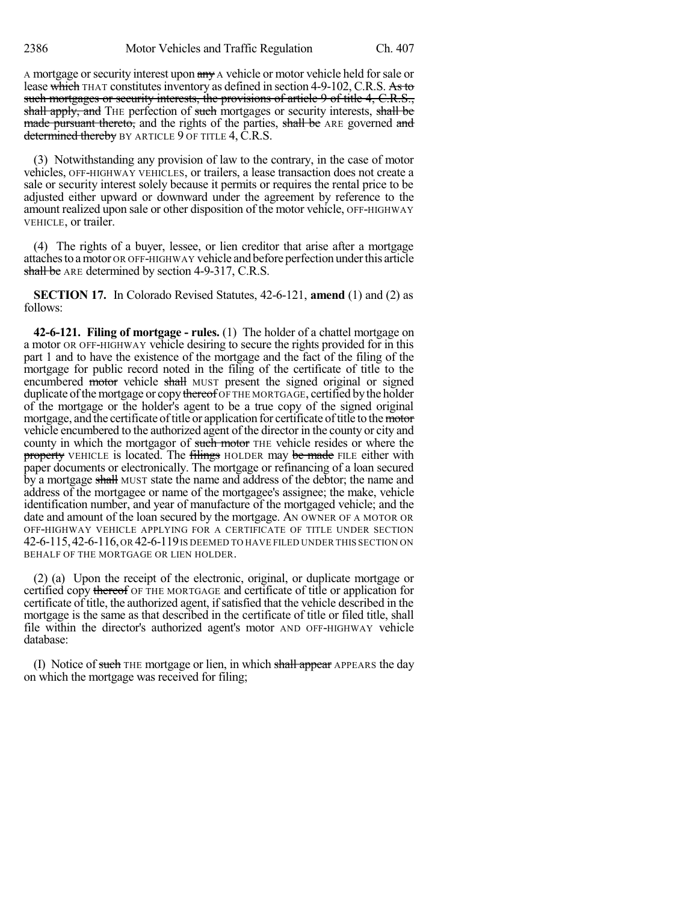A mortgage or security interest upon any A vehicle or motor vehicle held for sale or lease which THAT constitutes inventory as defined in section 4-9-102, C.R.S. As to such mortgages or security interests, the provisions of article 9 of title 4, C.R.S., shall apply, and THE perfection of such mortgages or security interests, shall be made pursuant thereto, and the rights of the parties, shall be ARE governed and determined thereby BY ARTICLE 9 OF TITLE 4, C.R.S.

(3) Notwithstanding any provision of law to the contrary, in the case of motor vehicles, OFF-HIGHWAY VEHICLES, or trailers, a lease transaction does not create a sale or security interest solely because it permits or requires the rental price to be adjusted either upward or downward under the agreement by reference to the amount realized upon sale or other disposition of the motor vehicle, OFF-HIGHWAY VEHICLE, or trailer.

(4) The rights of a buyer, lessee, or lien creditor that arise after a mortgage attachesto amotor OR OFF-HIGHWAY vehicle and before perfection underthis article shall be ARE determined by section 4-9-317, C.R.S.

**SECTION 17.** In Colorado Revised Statutes, 42-6-121, **amend** (1) and (2) as follows:

**42-6-121. Filing of mortgage - rules.** (1) The holder of a chattel mortgage on a motor OR OFF-HIGHWAY vehicle desiring to secure the rights provided for in this part 1 and to have the existence of the mortgage and the fact of the filing of the mortgage for public record noted in the filing of the certificate of title to the encumbered motor vehicle shall MUST present the signed original or signed duplicate of the mortgage or copy thereof OF THE MORTGAGE, certified by the holder of the mortgage or the holder's agent to be a true copy of the signed original mortgage, and the certificate of title or application for certificate of title to the motor vehicle encumbered to the authorized agent of the director in the county or city and county in which the mortgagor of such motor THE vehicle resides or where the property VEHICLE is located. The filings HOLDER may be made FILE either with paper documents or electronically. The mortgage or refinancing of a loan secured by a mortgage shall MUST state the name and address of the debtor; the name and address of the mortgagee or name of the mortgagee's assignee; the make, vehicle identification number, and year of manufacture of the mortgaged vehicle; and the date and amount of the loan secured by the mortgage. AN OWNER OF A MOTOR OR OFF-HIGHWAY VEHICLE APPLYING FOR A CERTIFICATE OF TITLE UNDER SECTION 42-6-115,42-6-116,OR 42-6-119IS DEEMED TO HAVE FILED UNDER THIS SECTION ON BEHALF OF THE MORTGAGE OR LIEN HOLDER.

(2) (a) Upon the receipt of the electronic, original, or duplicate mortgage or certified copy thereof OF THE MORTGAGE and certificate of title or application for certificate of title, the authorized agent, ifsatisfied that the vehicle described in the mortgage is the same as that described in the certificate of title or filed title, shall file within the director's authorized agent's motor AND OFF-HIGHWAY vehicle database:

(I) Notice of such THE mortgage or lien, in which shall appear APPEARS the day on which the mortgage was received for filing;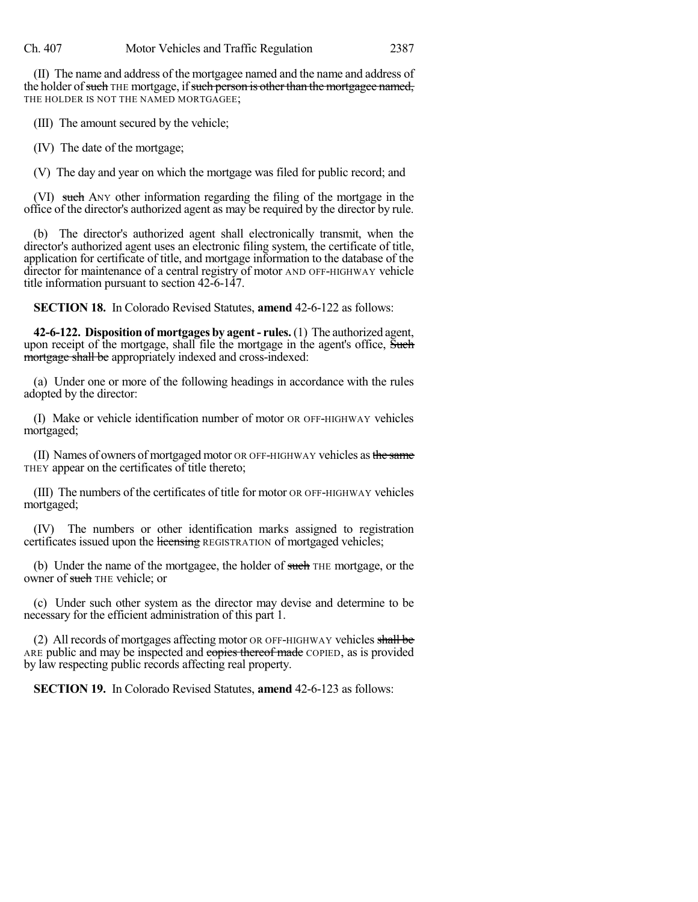(II) The name and address of the mortgagee named and the name and address of the holder of such THE mortgage, if such person is other than the mortgagee named, THE HOLDER IS NOT THE NAMED MORTGAGEE;

(III) The amount secured by the vehicle;

(IV) The date of the mortgage;

(V) The day and year on which the mortgage was filed for public record; and

(VI) such ANY other information regarding the filing of the mortgage in the office of the director's authorized agent as may be required by the director by rule.

(b) The director's authorized agent shall electronically transmit, when the director's authorized agent uses an electronic filing system, the certificate of title, application for certificate of title, and mortgage information to the database of the director for maintenance of a central registry of motor AND OFF-HIGHWAY vehicle title information pursuant to section 42-6-147.

**SECTION 18.** In Colorado Revised Statutes, **amend** 42-6-122 as follows:

**42-6-122. Disposition of mortgages by agent- rules.**(1) The authorized agent, upon receipt of the mortgage, shall file the mortgage in the agent's office, Such mortgage shall be appropriately indexed and cross-indexed:

(a) Under one or more of the following headings in accordance with the rules adopted by the director:

(I) Make or vehicle identification number of motor OR OFF-HIGHWAY vehicles mortgaged;

(II) Names of owners of mortgaged motor OR OFF-HIGHWAY vehicles as the same THEY appear on the certificates of title thereto;

(III) The numbers of the certificates of title for motor OR OFF-HIGHWAY vehicles mortgaged;

(IV) The numbers or other identification marks assigned to registration certificates issued upon the licensing REGISTRATION of mortgaged vehicles;

(b) Under the name of the mortgagee, the holder of such THE mortgage, or the owner of such THE vehicle; or

(c) Under such other system as the director may devise and determine to be necessary for the efficient administration of this part 1.

(2) All records of mortgages affecting motor OR OFF-HIGHWAY vehicles shall be ARE public and may be inspected and copies thereof made COPIED, as is provided by law respecting public records affecting real property.

**SECTION 19.** In Colorado Revised Statutes, **amend** 42-6-123 as follows: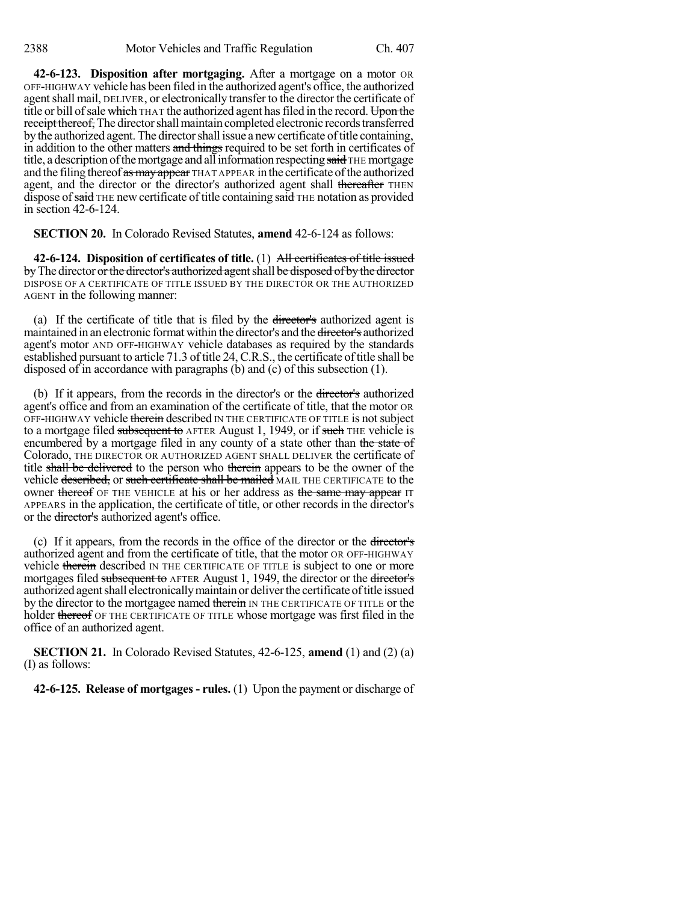**42-6-123. Disposition after mortgaging.** After a mortgage on a motor OR OFF-HIGHWAY vehicle has been filed in the authorized agent's office, the authorized agent shall mail, DELIVER, or electronically transfer to the director the certificate of title or bill of sale which THAT the authorized agent has filed in the record. Upon the receipt thereof, The director shall maintain completed electronic records transferred by the authorized agent. The director shall issue a new certificate of title containing, in addition to the other matters and things required to be set forth in certificates of title, a description of the mortgage and all information respecting said THE mortgage and the filing thereof as may appear THAT APPEAR in the certificate of the authorized agent, and the director or the director's authorized agent shall thereafter THEN dispose of said THE new certificate of title containing said THE notation as provided in section 42-6-124.

**SECTION 20.** In Colorado Revised Statutes, **amend** 42-6-124 as follows:

**42-6-124. Disposition of certificates of title.** (1) All certificates of title issued by The director or the director's authorized agent shall be disposed of by the director DISPOSE OF A CERTIFICATE OF TITLE ISSUED BY THE DIRECTOR OR THE AUTHORIZED AGENT in the following manner:

(a) If the certificate of title that is filed by the director's authorized agent is maintained in an electronic format within the director's and the director's authorized agent's motor AND OFF-HIGHWAY vehicle databases as required by the standards established pursuant to article 71.3 of title 24, C.R.S., the certificate of title shall be disposed of in accordance with paragraphs (b) and (c) of this subsection (1).

(b) If it appears, from the records in the director's or the director's authorized agent's office and from an examination of the certificate of title, that the motor OR OFF-HIGHWAY vehicle therein described IN THE CERTIFICATE OF TITLE is not subject to a mortgage filed subsequent to AFTER August 1, 1949, or if such THE vehicle is encumbered by a mortgage filed in any county of a state other than the state of Colorado, THE DIRECTOR OR AUTHORIZED AGENT SHALL DELIVER the certificate of title shall be delivered to the person who therein appears to be the owner of the vehicle described, or such certificate shall be mailed MAIL THE CERTIFICATE to the owner thereof OF THE VEHICLE at his or her address as the same may appear IT APPEARS in the application, the certificate of title, or other records in the director's or the director's authorized agent's office.

(c) If it appears, from the records in the office of the director or the director's authorized agent and from the certificate of title, that the motor OR OFF-HIGHWAY vehicle therein described IN THE CERTIFICATE OF TITLE is subject to one or more mortgages filed subsequent to AFTER August 1, 1949, the director or the director's authorized agent shall electronically maintain or deliver the certificate of title issued by the director to the mortgagee named therein IN THE CERTIFICATE OF TITLE or the holder thereof OF THE CERTIFICATE OF TITLE whose mortgage was first filed in the office of an authorized agent.

**SECTION 21.** In Colorado Revised Statutes, 42-6-125, **amend** (1) and (2) (a) (I) as follows:

**42-6-125. Release of mortgages - rules.** (1) Upon the payment or discharge of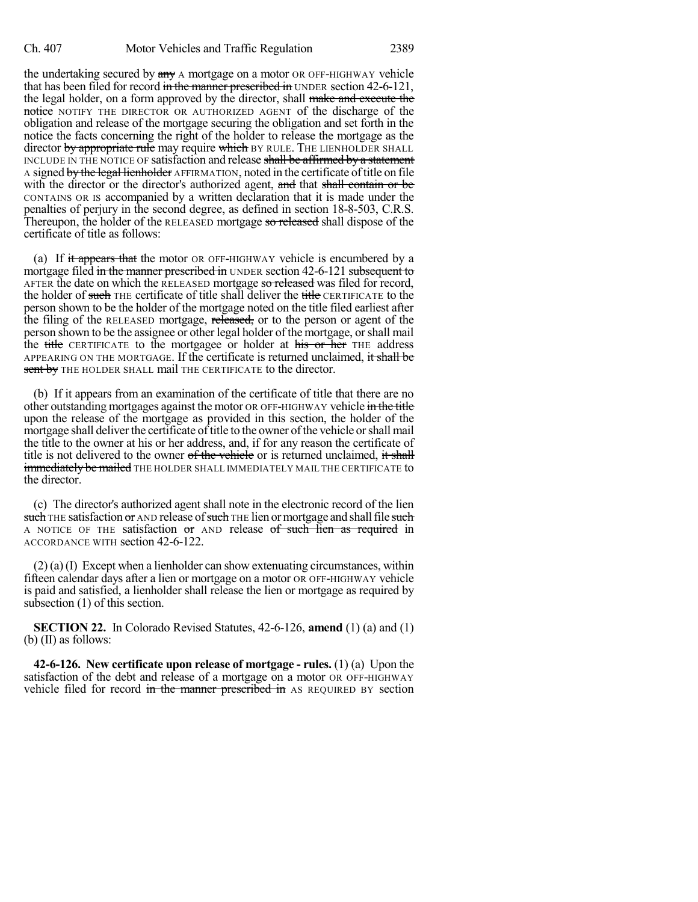the undertaking secured by  $\frac{a_n}{b_n}$  A mortgage on a motor OR OFF-HIGHWAY vehicle that has been filed for record in the manner prescribed in UNDER section 42-6-121, the legal holder, on a form approved by the director, shall make and execute the notice NOTIFY THE DIRECTOR OR AUTHORIZED AGENT of the discharge of the obligation and release of the mortgage securing the obligation and set forth in the notice the facts concerning the right of the holder to release the mortgage as the director by appropriate rule may require which BY RULE. THE LIENHOLDER SHALL INCLUDE IN THE NOTICE OF satisfaction and release shall be affirmed by a statement A signed by the legal lienholder AFFIRMATION, noted in the certificate of title on file with the director or the director's authorized agent, and that shall contain or be CONTAINS OR IS accompanied by a written declaration that it is made under the penalties of perjury in the second degree, as defined in section 18-8-503, C.R.S. Thereupon, the holder of the RELEASED mortgage so released shall dispose of the certificate of title as follows:

(a) If it appears that the motor OR OFF-HIGHWAY vehicle is encumbered by a mortgage filed in the manner prescribed in UNDER section 42-6-121 subsequent to AFTER the date on which the RELEASED mortgage so released was filed for record, the holder of such THE certificate of title shall deliver the title CERTIFICATE to the person shown to be the holder of the mortgage noted on the title filed earliest after the filing of the RELEASED mortgage, released, or to the person or agent of the person shown to be the assignee or other legal holder of the mortgage, orshall mail the title CERTIFICATE to the mortgagee or holder at his or her THE address APPEARING ON THE MORTGAGE. If the certificate is returned unclaimed, it shall be sent by THE HOLDER SHALL mail THE CERTIFICATE to the director.

(b) If it appears from an examination of the certificate of title that there are no other outstanding mortgages against the motor OR OFF-HIGHWAY vehicle in the title upon the release of the mortgage as provided in this section, the holder of the mortgage shall deliver the certificate of title to the owner of the vehicle or shall mail the title to the owner at his or her address, and, if for any reason the certificate of title is not delivered to the owner of the vehicle or is returned unclaimed, it shall immediately be mailed THE HOLDER SHALL IMMEDIATELY MAIL THE CERTIFICATE to the director.

(c) The director's authorized agent shall note in the electronic record of the lien such THE satisfaction or AND release of such THE lien or mortgage and shall file such A NOTICE OF THE satisfaction or AND release of such lien as required in ACCORDANCE WITH section 42-6-122.

(2) (a)(I) Except when a lienholder can show extenuating circumstances, within fifteen calendar days after a lien or mortgage on a motor OR OFF-HIGHWAY vehicle is paid and satisfied, a lienholder shall release the lien or mortgage as required by subsection (1) of this section.

**SECTION 22.** In Colorado Revised Statutes, 42-6-126, **amend** (1) (a) and (1) (b) (II) as follows:

**42-6-126. New certificate upon release of mortgage - rules.** (1) (a) Upon the satisfaction of the debt and release of a mortgage on a motor OR OFF-HIGHWAY vehicle filed for record in the manner prescribed in AS REQUIRED BY section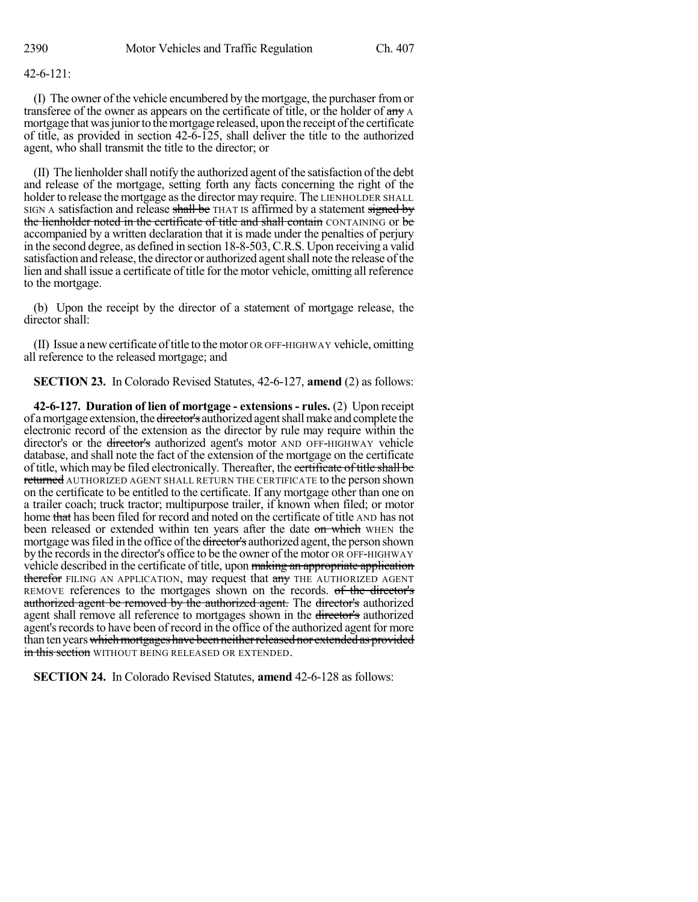## 42-6-121:

(I) The owner of the vehicle encumbered by the mortgage, the purchaser fromor transferee of the owner as appears on the certificate of title, or the holder of  $\frac{any}{any}$  A mortgage that was junior to the mortgage released, upon the receipt of the certificate of title, as provided in section 42-6-125, shall deliver the title to the authorized agent, who shall transmit the title to the director; or

(II) The lienholdershall notify the authorized agent ofthe satisfaction ofthe debt and release of the mortgage, setting forth any facts concerning the right of the holder to release the mortgage as the director may require. The LIENHOLDER SHALL SIGN A satisfaction and release shall be THAT IS affirmed by a statement signed by the lienholder noted in the certificate of title and shall contain CONTAINING or be accompanied by a written declaration that it is made under the penalties of perjury in the second degree, as defined in section 18-8-503, C.R.S. Upon receiving a valid satisfaction and release, the director or authorized agentshall note the release ofthe lien and shall issue a certificate of title for the motor vehicle, omitting all reference to the mortgage.

(b) Upon the receipt by the director of a statement of mortgage release, the director shall:

(II) Issue a new certificate of title to the motor OR OFF-HIGHWAY vehicle, omitting all reference to the released mortgage; and

**SECTION 23.** In Colorado Revised Statutes, 42-6-127, **amend** (2) as follows:

**42-6-127. Duration of lien of mortgage - extensions - rules.** (2) Upon receipt of a mortgage extension, the director's authorized agent shall make and complete the electronic record of the extension as the director by rule may require within the director's or the director's authorized agent's motor AND OFF-HIGHWAY vehicle database, and shall note the fact of the extension of the mortgage on the certificate of title, which may be filed electronically. Thereafter, the certificate of title shall be returned AUTHORIZED AGENT SHALL RETURN THE CERTIFICATE to the person shown on the certificate to be entitled to the certificate. If any mortgage other than one on a trailer coach; truck tractor; multipurpose trailer, if known when filed; or motor home that has been filed for record and noted on the certificate of title AND has not been released or extended within ten years after the date on which WHEN the mortgage was filed in the office of the director's authorized agent, the person shown by the records in the director's office to be the owner of the motor OR OFF-HIGHWAY vehicle described in the certificate of title, upon making an appropriate application therefor FILING AN APPLICATION, may request that any THE AUTHORIZED AGENT REMOVE references to the mortgages shown on the records. of the director's authorized agent be removed by the authorized agent. The director's authorized agent shall remove all reference to mortgages shown in the director's authorized agent's records to have been of record in the office of the authorized agent for more than ten years which mortgages have been neither released nor extended as provided in this section WITHOUT BEING RELEASED OR EXTENDED.

**SECTION 24.** In Colorado Revised Statutes, **amend** 42-6-128 as follows: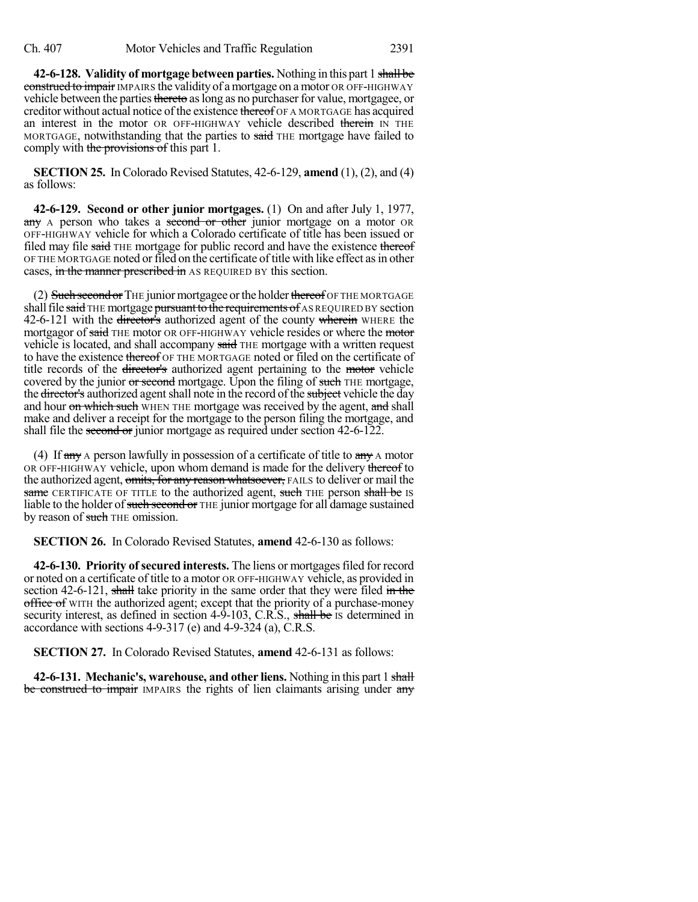**42-6-128. Validity of mortgage between parties.** Nothing in this part 1 shall be construed to impair IMPAIRS the validity of a mortgage on a motor OR OFF-HIGHWAY vehicle between the parties thereto as long as no purchaser for value, mortgagee, or creditor without actual notice of the existence thereof OF A MORTGAGE has acquired an interest in the motor OR OFF-HIGHWAY vehicle described therein IN THE MORTGAGE, notwithstanding that the parties to said THE mortgage have failed to comply with the provisions of this part 1.

**SECTION 25.** In Colorado Revised Statutes, 42-6-129, **amend** (1), (2), and (4) as follows:

**42-6-129. Second or other junior mortgages.** (1) On and after July 1, 1977, any A person who takes a second or other junior mortgage on a motor OR OFF-HIGHWAY vehicle for which a Colorado certificate of title has been issued or filed may file said THE mortgage for public record and have the existence thereof OF THE MORTGAGE noted or filed on the certificate of title with like effect as in other cases, in the manner prescribed in AS REQUIRED BY this section.

(2) Such second or THE junior mortgagee or the holder thereof OF THE MORTGAGE shall file said THE mortgage pursuant to the requirements of AS REQUIRED BY section 42-6-121 with the <del>director's</del> authorized agent of the county wherein WHERE the mortgagor of said THE motor OR OFF-HIGHWAY vehicle resides or where the motor vehicle is located, and shall accompany said THE mortgage with a written request to have the existence thereof OF THE MORTGAGE noted or filed on the certificate of title records of the director's authorized agent pertaining to the motor vehicle covered by the junior or second mortgage. Upon the filing of such THE mortgage, the director's authorized agent shall note in the record of the subject vehicle the day and hour on which such WHEN THE mortgage was received by the agent, and shall make and deliver a receipt for the mortgage to the person filing the mortgage, and shall file the second or junior mortgage as required under section 42-6-122.

(4) If  $\frac{dy}{dx}$  A person lawfully in possession of a certificate of title to  $\frac{dy}{dx}$  A motor OR OFF-HIGHWAY vehicle, upon whom demand is made for the delivery thereof to the authorized agent, omits, for any reason whatsoever, FAILS to deliver or mail the same CERTIFICATE OF TITLE to the authorized agent, such THE person shall be IS liable to the holder of such second or THE junior mortgage for all damage sustained by reason of such THE omission.

**SECTION 26.** In Colorado Revised Statutes, **amend** 42-6-130 as follows:

**42-6-130. Priority of secured interests.** The liens or mortgagesfiled for record or noted on a certificate of title to a motor OR OFF-HIGHWAY vehicle, as provided in section  $42-6-121$ , shall take priority in the same order that they were filed in the office of WITH the authorized agent; except that the priority of a purchase-money security interest, as defined in section 4-9-103, C.R.S., shall be is determined in accordance with sections 4-9-317 (e) and 4-9-324 (a), C.R.S.

**SECTION 27.** In Colorado Revised Statutes, **amend** 42-6-131 as follows:

**42-6-131. Mechanic's, warehouse, and other liens.** Nothing in this part 1 shall be construed to impair IMPAIRS the rights of lien claimants arising under any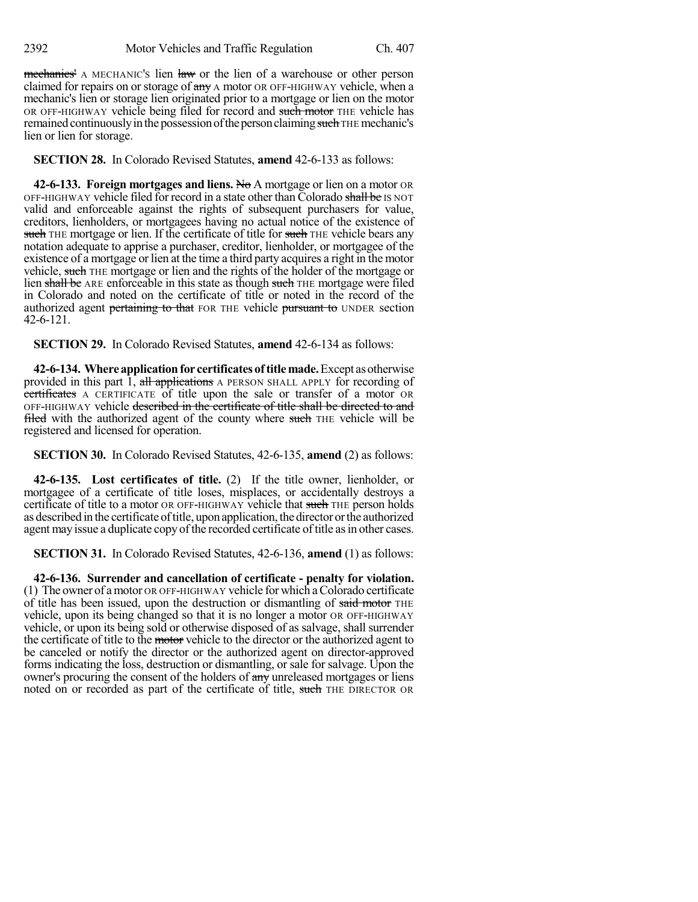mechanics' A MECHANIC's lien law or the lien of a warehouse or other person claimed for repairs on or storage of  $\frac{day}{x}$  a motor OR OFF-HIGHWAY vehicle, when a mechanic's lien or storage lien originated prior to a mortgage or lien on the motor OR OFF-HIGHWAY vehicle being filed for record and such motor THE vehicle has remained continuously in the possession of the person claiming such THE mechanic's lien or lien for storage.

**SECTION 28.** In Colorado Revised Statutes, **amend** 42-6-133 as follows:

**42-6-133. Foreign mortgages and liens.** No A mortgage or lien on a motor OR OFF-HIGHWAY vehicle filed for record in a state other than Colorado shall be IS NOT valid and enforceable against the rights of subsequent purchasers for value, creditors, lienholders, or mortgagees having no actual notice of the existence of such THE mortgage or lien. If the certificate of title for such THE vehicle bears any notation adequate to apprise a purchaser, creditor, lienholder, or mortgagee of the existence of a mortgage or lien at the time a third party acquires a right in the motor vehicle, such THE mortgage or lien and the rights of the holder of the mortgage or lien shall be ARE enforceable in this state as though such THE mortgage were filed in Colorado and noted on the certificate of title or noted in the record of the authorized agent pertaining to that FOR THE vehicle pursuant to UNDER section 42-6-121.

**SECTION 29.** In Colorado Revised Statutes, **amend** 42-6-134 as follows:

**42-6-134. Whereapplicationfor certificatesof titlemade.**Except asotherwise provided in this part 1, all applications A PERSON SHALL APPLY for recording of certificates A CERTIFICATE of title upon the sale or transfer of a motor OR OFF-HIGHWAY vehicle described in the certificate of title shall be directed to and filed with the authorized agent of the county where such THE vehicle will be registered and licensed for operation.

**SECTION 30.** In Colorado Revised Statutes, 42-6-135, **amend** (2) as follows:

**42-6-135. Lost certificates of title.** (2) If the title owner, lienholder, or mortgagee of a certificate of title loses, misplaces, or accidentally destroys a certificate of title to a motor OR OFF-HIGHWAY vehicle that such THE person holds as described in the certificate of title, upon application, the director or the authorized agent may issue a duplicate copy of the recorded certificate of title as in other cases.

**SECTION 31.** In Colorado Revised Statutes, 42-6-136, **amend** (1) as follows:

**42-6-136. Surrender and cancellation of certificate - penalty for violation.** (1) The owner of amotor OR OFF-HIGHWAY vehicle for which aColorado certificate of title has been issued, upon the destruction or dismantling of said motor THE vehicle, upon its being changed so that it is no longer a motor OR OFF-HIGHWAY vehicle, or upon its being sold or otherwise disposed of as salvage, shall surrender the certificate of title to the motor vehicle to the director or the authorized agent to be canceled or notify the director or the authorized agent on director-approved forms indicating the loss, destruction or dismantling, or sale for salvage. Upon the owner's procuring the consent of the holders of any unreleased mortgages or liens noted on or recorded as part of the certificate of title, such THE DIRECTOR OR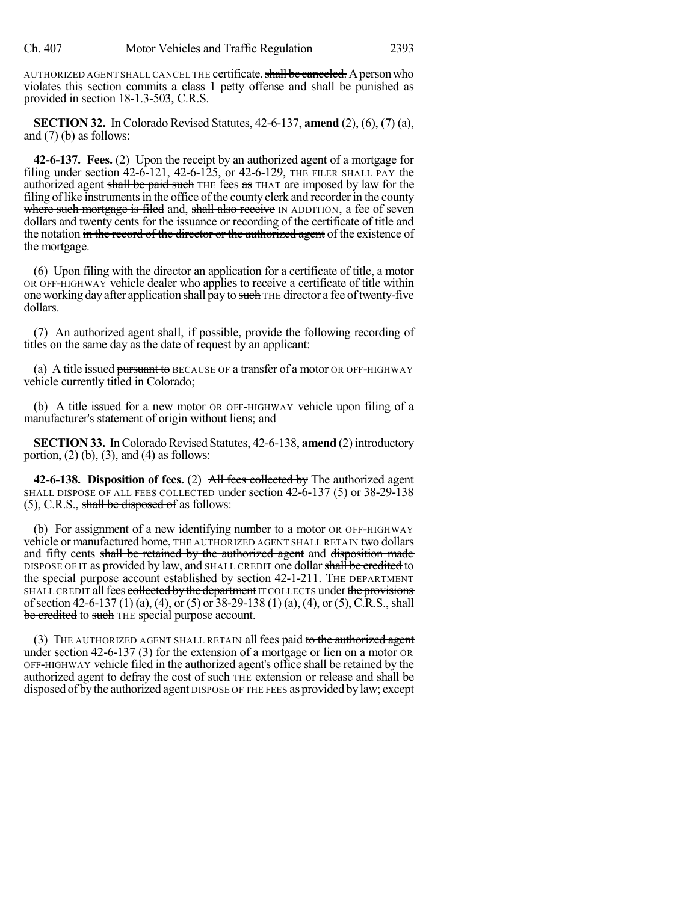AUTHORIZED AGENT SHALL CANCEL THE certificate. shall be canceled. A person who violates this section commits a class 1 petty offense and shall be punished as provided in section 18-1.3-503, C.R.S.

**SECTION 32.** In Colorado Revised Statutes, 42-6-137, **amend** (2), (6), (7) (a), and (7) (b) as follows:

**42-6-137. Fees.** (2) Upon the receipt by an authorized agent of a mortgage for filing under section 42-6-121, 42-6-125, or 42-6-129, THE FILER SHALL PAY the authorized agent shall be paid such THE fees as THAT are imposed by law for the filing of like instruments in the office of the county clerk and recorder in the county where such mortgage is filed and, shall also receive IN ADDITION, a fee of seven dollars and twenty cents for the issuance or recording of the certificate of title and the notation in the record of the director or the authorized agent of the existence of the mortgage.

(6) Upon filing with the director an application for a certificate of title, a motor OR OFF-HIGHWAY vehicle dealer who applies to receive a certificate of title within one working day after application shall pay to such THE director a fee of twenty-five dollars.

(7) An authorized agent shall, if possible, provide the following recording of titles on the same day as the date of request by an applicant:

(a) A title issued pursuant to BECAUSE OF a transfer of a motor OR OFF-HIGHWAY vehicle currently titled in Colorado;

(b) A title issued for a new motor OR OFF-HIGHWAY vehicle upon filing of a manufacturer's statement of origin without liens; and

**SECTION 33.** In Colorado Revised Statutes, 42-6-138, **amend** (2) introductory portion,  $(2)$  (b),  $(3)$ , and  $(4)$  as follows:

**42-6-138. Disposition of fees.** (2) All fees collected by The authorized agent SHALL DISPOSE OF ALL FEES COLLECTED under section 42-6-137 (5) or 38-29-138 (5), C.R.S., shall be disposed of as follows:

(b) For assignment of a new identifying number to a motor OR OFF-HIGHWAY vehicle or manufactured home, THE AUTHORIZED AGENT SHALL RETAIN two dollars and fifty cents shall be retained by the authorized agent and disposition made DISPOSE OF IT as provided by law, and SHALL CREDIT one dollar shall be credited to the special purpose account established by section 42-1-211. THE DEPARTMENT SHALL CREDIT all fees collected by the department IT COLLECTS under the provisions of section 42-6-137 (1) (a), (4), or (5) or 38-29-138 (1) (a), (4), or (5), C.R.S., shall be credited to such THE special purpose account.

(3) THE AUTHORIZED AGENT SHALL RETAIN all fees paid to the authorized agent under section 42-6-137 (3) for the extension of a mortgage or lien on a motor OR OFF-HIGHWAY vehicle filed in the authorized agent's office shall be retained by the authorized agent to defray the cost of such THE extension or release and shall be disposed of by the authorized agent DISPOSE OF THE FEES as provided by law; except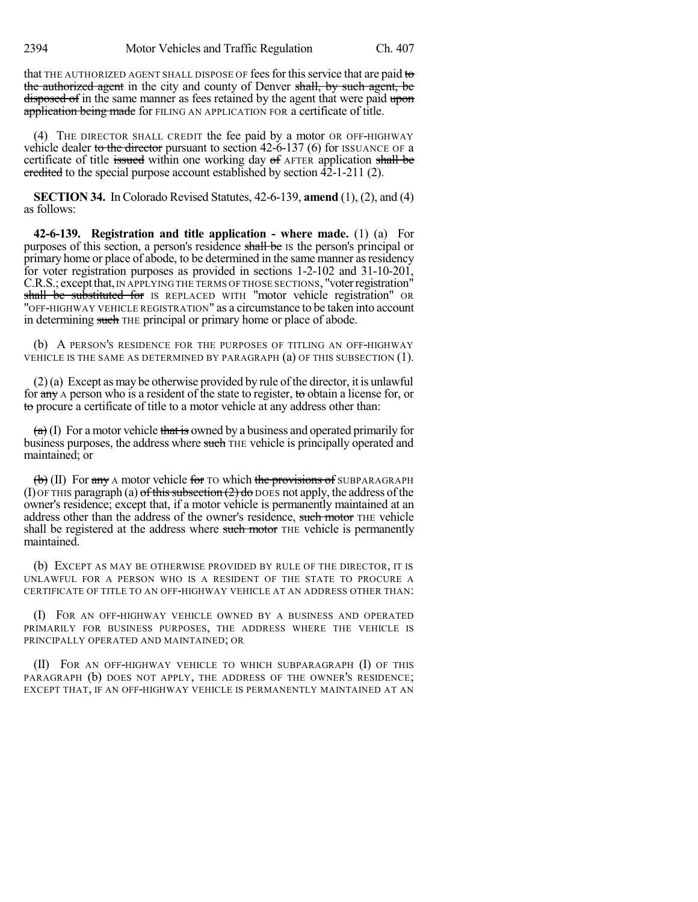that THE AUTHORIZED AGENT SHALL DISPOSE OF fees for this service that are paid to the authorized agent in the city and county of Denver shall, by such agent, be disposed of in the same manner as fees retained by the agent that were paid upon application being made for FILING AN APPLICATION FOR a certificate of title.

(4) THE DIRECTOR SHALL CREDIT the fee paid by a motor OR OFF-HIGHWAY vehicle dealer to the director pursuant to section  $42-6-137$  (6) for ISSUANCE OF a certificate of title issued within one working day of AFTER application shall be eredited to the special purpose account established by section 42-1-211 (2).

**SECTION 34.** In Colorado Revised Statutes, 42-6-139, **amend** (1), (2), and (4) as follows:

**42-6-139. Registration and title application - where made.** (1) (a) For purposes of this section, a person's residence shall be IS the person's principal or primary home or place of abode, to be determined in the same manner as residency for voter registration purposes as provided in sections 1-2-102 and 31-10-201, C.R.S.; except that, IN APPLYING THE TERMS OF THOSE SECTIONS, "voter registration" shall be substituted for IS REPLACED WITH "motor vehicle registration" OR "OFF-HIGHWAY VEHICLE REGISTRATION" as a circumstance to be taken into account in determining such THE principal or primary home or place of abode.

(b) A PERSON'S RESIDENCE FOR THE PURPOSES OF TITLING AN OFF-HIGHWAY VEHICLE IS THE SAME AS DETERMINED BY PARAGRAPH (a) OF THIS SUBSECTION (1).

(2)(a) Except as may be otherwise provided by rule of the director, it is unlawful for any A person who is a resident of the state to register, to obtain a license for, or to procure a certificate of title to a motor vehicle at any address other than:

 $(a)$  (I) For a motor vehicle that is owned by a business and operated primarily for business purposes, the address where such THE vehicle is principally operated and maintained; or

 $\left(\mathbf{b}\right)$  (II) For any A motor vehicle for TO which the provisions of SUBPARAGRAPH (I) OF THIS paragraph (a) of this subsection  $(2)$  do DOES not apply, the address of the owner's residence; except that, if a motor vehicle is permanently maintained at an address other than the address of the owner's residence, such motor THE vehicle shall be registered at the address where such motor THE vehicle is permanently maintained.

(b) EXCEPT AS MAY BE OTHERWISE PROVIDED BY RULE OF THE DIRECTOR, IT IS UNLAWFUL FOR A PERSON WHO IS A RESIDENT OF THE STATE TO PROCURE A CERTIFICATE OF TITLE TO AN OFF-HIGHWAY VEHICLE AT AN ADDRESS OTHER THAN:

(I) FOR AN OFF-HIGHWAY VEHICLE OWNED BY A BUSINESS AND OPERATED PRIMARILY FOR BUSINESS PURPOSES, THE ADDRESS WHERE THE VEHICLE IS PRINCIPALLY OPERATED AND MAINTAINED; OR

(II) FOR AN OFF-HIGHWAY VEHICLE TO WHICH SUBPARAGRAPH (I) OF THIS PARAGRAPH (b) DOES NOT APPLY, THE ADDRESS OF THE OWNER'S RESIDENCE; EXCEPT THAT, IF AN OFF-HIGHWAY VEHICLE IS PERMANENTLY MAINTAINED AT AN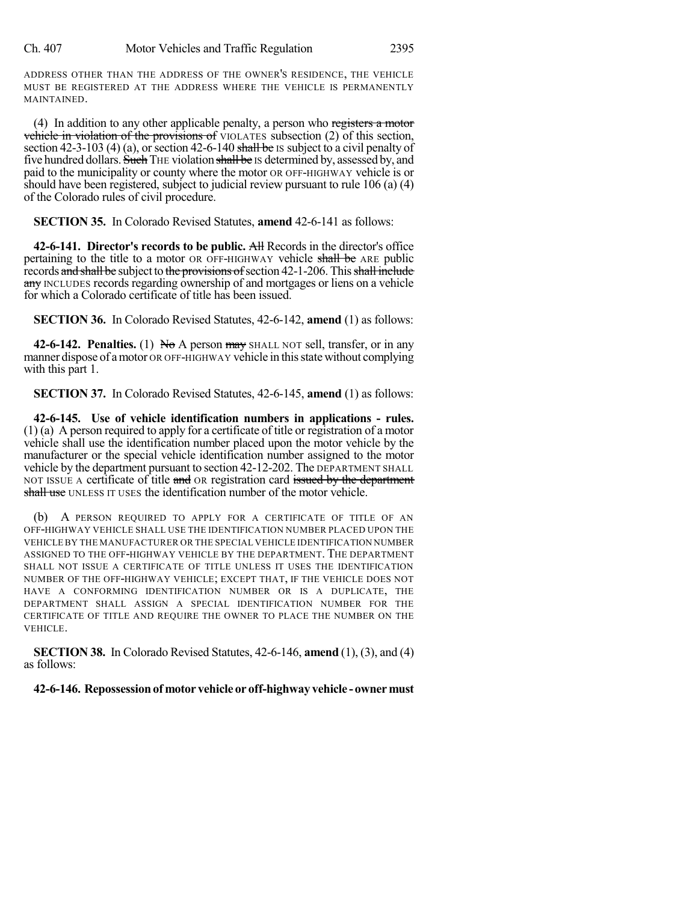ADDRESS OTHER THAN THE ADDRESS OF THE OWNER'S RESIDENCE, THE VEHICLE MUST BE REGISTERED AT THE ADDRESS WHERE THE VEHICLE IS PERMANENTLY MAINTAINED.

(4) In addition to any other applicable penalty, a person who registers a motor vehicle in violation of the provisions of VIOLATES subsection (2) of this section, section 42-3-103 (4) (a), or section 42-6-140 shall be IS subject to a civil penalty of five hundred dollars. Such THE violation shall be IS determined by, assessed by, and paid to the municipality or county where the motor OR OFF-HIGHWAY vehicle is or should have been registered, subject to judicial review pursuant to rule 106 (a) (4) of the Colorado rules of civil procedure.

**SECTION 35.** In Colorado Revised Statutes, **amend** 42-6-141 as follows:

**42-6-141. Director's records to be public.** All Records in the director's office pertaining to the title to a motor OR OFF-HIGHWAY vehicle shall be ARE public records and shall be subject to the provisions of section 42-1-206. This shall include any INCLUDES records regarding ownership of and mortgages or liens on a vehicle for which a Colorado certificate of title has been issued.

**SECTION 36.** In Colorado Revised Statutes, 42-6-142, **amend** (1) as follows:

**42-6-142. Penalties.** (1) No A person may SHALL NOT sell, transfer, or in any manner dispose of a motor OR OFF-HIGHWAY vehicle in this state without complying with this part 1.

**SECTION 37.** In Colorado Revised Statutes, 42-6-145, **amend** (1) as follows:

**42-6-145. Use of vehicle identification numbers in applications - rules.** (1) (a) A person required to apply for a certificate of title or registration of a motor vehicle shall use the identification number placed upon the motor vehicle by the manufacturer or the special vehicle identification number assigned to the motor vehicle by the department pursuant to section 42-12-202. The DEPARTMENT SHALL NOT ISSUE A certificate of title and OR registration card issued by the department shall use UNLESS IT USES the identification number of the motor vehicle.

(b) A PERSON REQUIRED TO APPLY FOR A CERTIFICATE OF TITLE OF AN OFF-HIGHWAY VEHICLE SHALL USE THE IDENTIFICATION NUMBER PLACED UPON THE VEHICLE BY THE MANUFACTURER OR THE SPECIAL VEHICLE IDENTIFICATION NUMBER ASSIGNED TO THE OFF-HIGHWAY VEHICLE BY THE DEPARTMENT. THE DEPARTMENT SHALL NOT ISSUE A CERTIFICATE OF TITLE UNLESS IT USES THE IDENTIFICATION NUMBER OF THE OFF-HIGHWAY VEHICLE; EXCEPT THAT, IF THE VEHICLE DOES NOT HAVE A CONFORMING IDENTIFICATION NUMBER OR IS A DUPLICATE, THE DEPARTMENT SHALL ASSIGN A SPECIAL IDENTIFICATION NUMBER FOR THE CERTIFICATE OF TITLE AND REQUIRE THE OWNER TO PLACE THE NUMBER ON THE VEHICLE.

**SECTION 38.** In Colorado Revised Statutes, 42-6-146, **amend** (1), (3), and (4) as follows:

## **42-6-146. Repossessionof motor vehicle or off-highway vehicle -ownermust**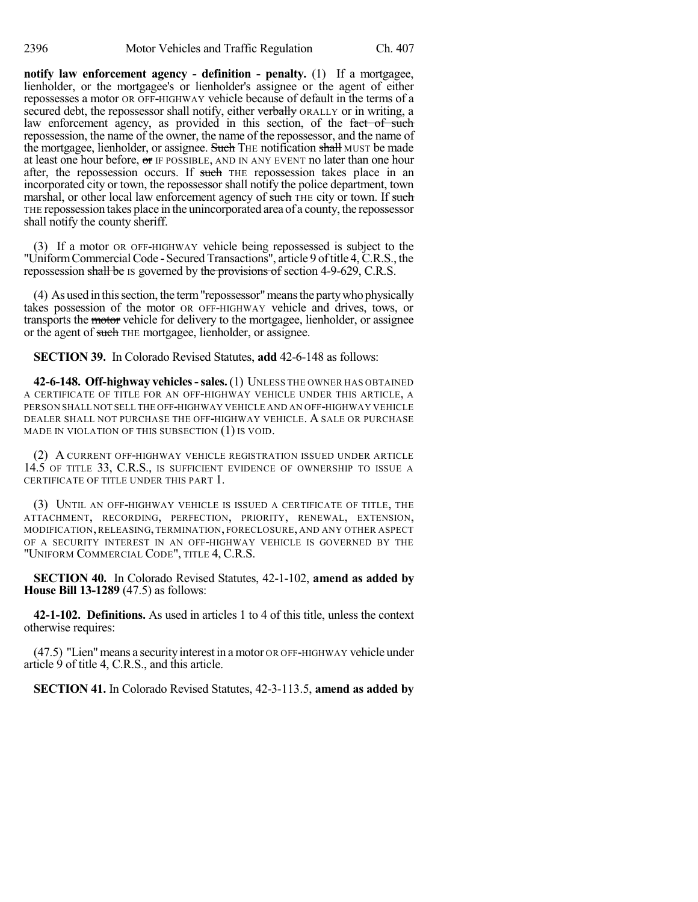**notify law enforcement agency - definition - penalty.** (1) If a mortgagee, lienholder, or the mortgagee's or lienholder's assignee or the agent of either repossesses a motor OR OFF-HIGHWAY vehicle because of default in the terms of a secured debt, the repossessor shall notify, either verbally ORALLY or in writing, a law enforcement agency, as provided in this section, of the fact of such repossession, the name of the owner, the name of the repossessor, and the name of the mortgagee, lienholder, or assignee. Such THE notification shall MUST be made at least one hour before,  $\sigma$  IF POSSIBLE, AND IN ANY EVENT no later than one hour after, the repossession occurs. If such THE repossession takes place in an incorporated city or town, the repossessor shall notify the police department, town marshal, or other local law enforcement agency of such THE city or town. If such THE repossession takes place in the unincorporated area of a county, the repossessor shall notify the county sheriff.

(3) If a motor OR OFF-HIGHWAY vehicle being repossessed is subject to the "Uniform Commercial Code - Secured Transactions", article 9 of title 4, C.R.S., the repossession shall be IS governed by the provisions of section 4-9-629, C.R.S.

(4) As used in thissection, the term"repossessor"meansthe partywho physically takes possession of the motor OR OFF-HIGHWAY vehicle and drives, tows, or transports the motor vehicle for delivery to the mortgagee, lienholder, or assignee or the agent of such THE mortgagee, lienholder, or assignee.

**SECTION 39.** In Colorado Revised Statutes, **add** 42-6-148 as follows:

**42-6-148. Off-highway vehicles-sales.**(1) UNLESS THE OWNER HAS OBTAINED A CERTIFICATE OF TITLE FOR AN OFF-HIGHWAY VEHICLE UNDER THIS ARTICLE, A PERSON SHALL NOT SELL THE OFF-HIGHWAY VEHICLE AND AN OFF-HIGHWAY VEHICLE DEALER SHALL NOT PURCHASE THE OFF-HIGHWAY VEHICLE. A SALE OR PURCHASE MADE IN VIOLATION OF THIS SUBSECTION (1) IS VOID.

(2) A CURRENT OFF-HIGHWAY VEHICLE REGISTRATION ISSUED UNDER ARTICLE 14.5 OF TITLE 33, C.R.S., IS SUFFICIENT EVIDENCE OF OWNERSHIP TO ISSUE A CERTIFICATE OF TITLE UNDER THIS PART 1.

(3) UNTIL AN OFF-HIGHWAY VEHICLE IS ISSUED A CERTIFICATE OF TITLE, THE ATTACHMENT, RECORDING, PERFECTION, PRIORITY, RENEWAL, EXTENSION, MODIFICATION, RELEASING, TERMINATION, FORECLOSURE, AND ANY OTHER ASPECT OF A SECURITY INTEREST IN AN OFF-HIGHWAY VEHICLE IS GOVERNED BY THE "UNIFORM COMMERCIAL CODE", TITLE 4, C.R.S.

**SECTION 40.** In Colorado Revised Statutes, 42-1-102, **amend as added by House Bill 13-1289** (47.5) as follows:

**42-1-102. Definitions.** As used in articles 1 to 4 of this title, unless the context otherwise requires:

(47.5) "Lien" means a security interest in a motor OR OFF-HIGHWAY vehicle under article 9 of title 4, C.R.S., and this article.

**SECTION 41.** In Colorado Revised Statutes, 42-3-113.5, **amend as added by**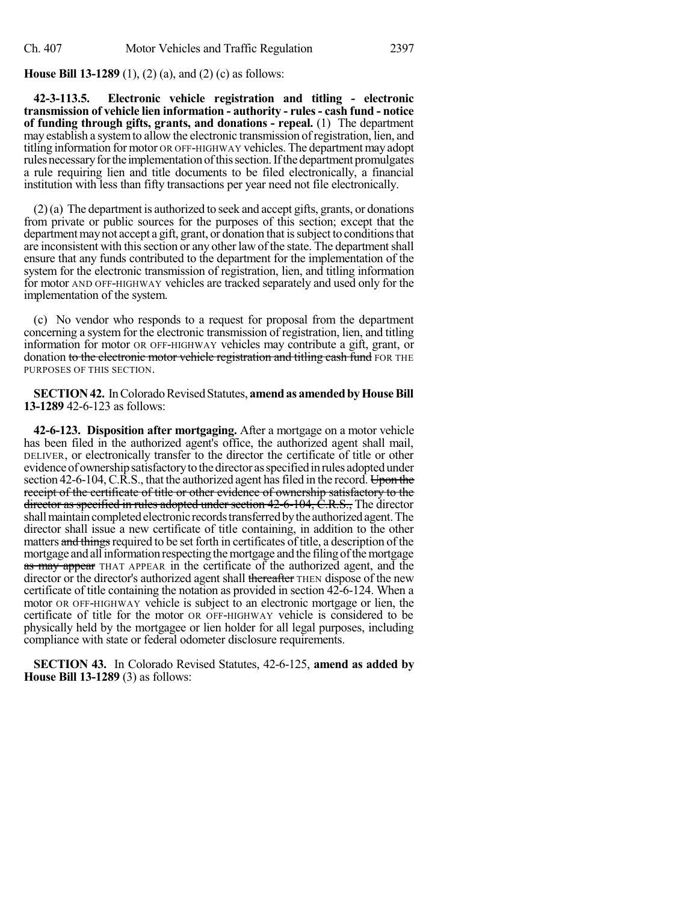**House Bill 13-1289** (1), (2) (a), and (2) (c) as follows:

**42-3-113.5. Electronic vehicle registration and titling - electronic transmission of vehicle lien information - authority - rules- cash fund - notice of funding through gifts, grants, and donations - repeal.** (1) The department may establish a systemto allow the electronic transmission ofregistration, lien, and titling information for motor OR OFF-HIGHWAY vehicles. The departmentmay adopt rules necessary for the implementation of this section. If the department promulgates a rule requiring lien and title documents to be filed electronically, a financial institution with less than fifty transactions per year need not file electronically.

 $(2)$ (a) The department is authorized to seek and accept gifts, grants, or donations from private or public sources for the purposes of this section; except that the department may not accept a gift, grant, or donation that is subject to conditions that are inconsistent with this section or any other law of the state. The department shall ensure that any funds contributed to the department for the implementation of the system for the electronic transmission of registration, lien, and titling information for motor AND OFF-HIGHWAY vehicles are tracked separately and used only for the implementation of the system.

(c) No vendor who responds to a request for proposal from the department concerning a system for the electronic transmission of registration, lien, and titling information for motor OR OFF-HIGHWAY vehicles may contribute a gift, grant, or donation to the electronic motor vehicle registration and titling eash fund FOR THE PURPOSES OF THIS SECTION.

**SECTION 42.** In Colorado Revised Statutes, **amend as amended by House Bill 13-1289** 42-6-123 as follows:

**42-6-123. Disposition after mortgaging.** After a mortgage on a motor vehicle has been filed in the authorized agent's office, the authorized agent shall mail, DELIVER, or electronically transfer to the director the certificate of title or other evidence of ownership satisfactory to the director as specified in rules adopted under section 42-6-104, C.R.S., that the authorized agent has filed in the record. Upon the receipt of the certificate of title or other evidence of ownership satisfactory to the director as specified in rules adopted under section 42-6-104, C.R.S., The director shall maintain completed electronic records transferred by the authorized agent. The director shall issue a new certificate of title containing, in addition to the other matters and things required to be set forth in certificates of title, a description of the mortgage and all information respecting the mortgage and the filing of the mortgage as may appear THAT APPEAR in the certificate of the authorized agent, and the director or the director's authorized agent shall thereafter THEN dispose of the new certificate of title containing the notation as provided in section 42-6-124. When a motor OR OFF-HIGHWAY vehicle is subject to an electronic mortgage or lien, the certificate of title for the motor OR OFF-HIGHWAY vehicle is considered to be physically held by the mortgagee or lien holder for all legal purposes, including compliance with state or federal odometer disclosure requirements.

**SECTION 43.** In Colorado Revised Statutes, 42-6-125, **amend as added by House Bill 13-1289** (3) as follows: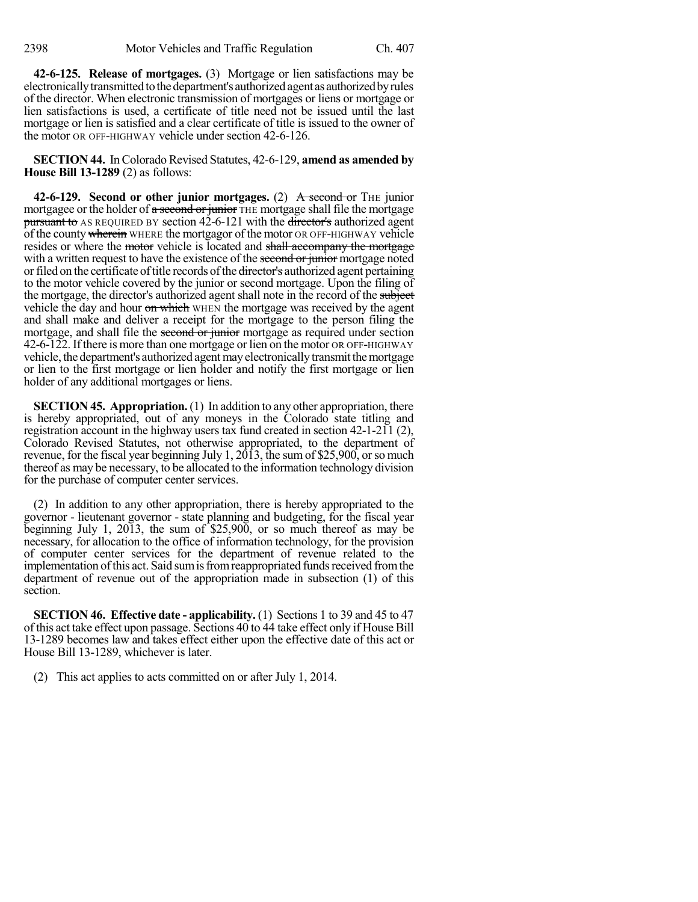**42-6-125. Release of mortgages.** (3) Mortgage or lien satisfactions may be electronically transmitted to the department's authorized agent as authorized by rules of the director. When electronic transmission of mortgages or liens or mortgage or lien satisfactions is used, a certificate of title need not be issued until the last mortgage or lien is satisfied and a clear certificate of title is issued to the owner of the motor OR OFF-HIGHWAY vehicle under section 42-6-126.

**SECTION 44.** In Colorado Revised Statutes, 42-6-129, **amend as amended by House Bill 13-1289** (2) as follows:

**42-6-129. Second or other junior mortgages.** (2) A second or THE junior mortgagee or the holder of a second or junior THE mortgage shall file the mortgage pursuant to AS REQUIRED BY section  $42-6-121$  with the director's authorized agent of the county wherein WHERE the mortgagor of the motor OR OFF-HIGHWAY vehicle resides or where the motor vehicle is located and shall accompany the mortgage with a written request to have the existence of the second or junior mortgage noted or filed on the certificate of title records of the director's authorized agent pertaining to the motor vehicle covered by the junior or second mortgage. Upon the filing of the mortgage, the director's authorized agent shall note in the record of the subject vehicle the day and hour on which WHEN the mortgage was received by the agent and shall make and deliver a receipt for the mortgage to the person filing the mortgage, and shall file the second or junior mortgage as required under section 42-6-122. If there is more than one mortgage or lien on the motor OR OFF-HIGHWAY vehicle, the department's authorized agentmayelectronicallytransmitthemortgage or lien to the first mortgage or lien holder and notify the first mortgage or lien holder of any additional mortgages or liens.

**SECTION 45. Appropriation.** (1) In addition to any other appropriation, there is hereby appropriated, out of any moneys in the Colorado state titling and registration account in the highway users tax fund created in section 42-1-211 (2), Colorado Revised Statutes, not otherwise appropriated, to the department of revenue, for the fiscal year beginning July 1,  $20\overline{13}$ , the sum of \$25,900, or so much thereof as may be necessary, to be allocated to the information technology division for the purchase of computer center services.

(2) In addition to any other appropriation, there is hereby appropriated to the governor - lieutenant governor - state planning and budgeting, for the fiscal year beginning July 1, 2013, the sum of \$25,900, or so much thereof as may be necessary, for allocation to the office of information technology, for the provision of computer center services for the department of revenue related to the implementation of this act. Said sum is from reappropriated funds received from the department of revenue out of the appropriation made in subsection (1) of this section.

**SECTION 46. Effective date - applicability.** (1) Sections 1 to 39 and 45 to 47 of this act take effect upon passage. Sections 40 to 44 take effect only if House Bill 13-1289 becomes law and takes effect either upon the effective date of this act or House Bill 13-1289, whichever is later.

(2) This act applies to acts committed on or after July 1, 2014.